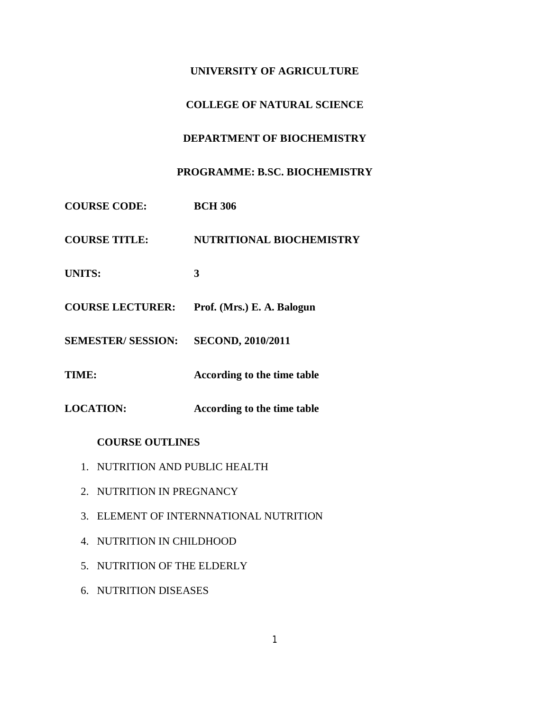# **UNIVERSITY OF AGRICULTURE**

# **COLLEGE OF NATURAL SCIENCE**

# **DEPARTMENT OF BIOCHEMISTRY**

# **PROGRAMME: B.SC. BIOCHEMISTRY**

**COURSE CODE: BCH 306 COURSE TITLE: NUTRITIONAL BIOCHEMISTRY UNITS: 3 COURSE LECTURER: Prof. (Mrs.) E. A. Balogun SEMESTER/ SESSION: SECOND, 2010/2011 TIME: According to the time table LOCATION: According to the time table**

# **COURSE OUTLINES**

- 1. NUTRITION AND PUBLIC HEALTH
- 2. NUTRITION IN PREGNANCY
- 3. ELEMENT OF INTERNNATIONAL NUTRITION
- 4. NUTRITION IN CHILDHOOD
- 5. NUTRITION OF THE ELDERLY
- 6. NUTRITION DISEASES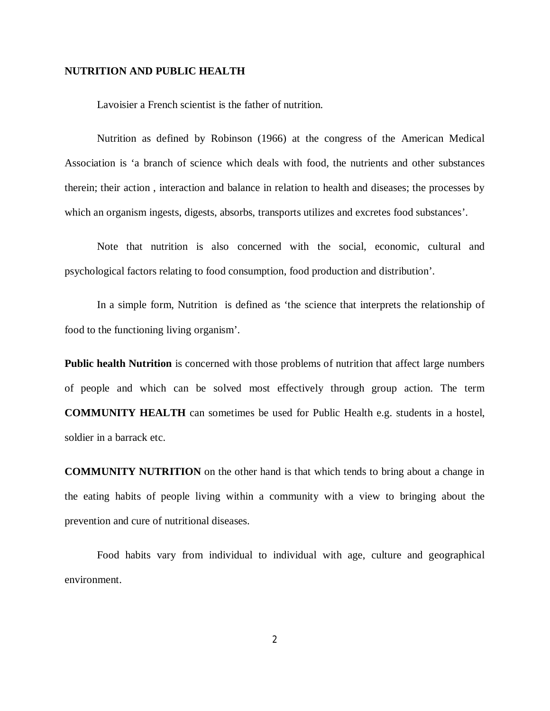### **NUTRITION AND PUBLIC HEALTH**

Lavoisier a French scientist is the father of nutrition.

Nutrition as defined by Robinson (1966) at the congress of the American Medical Association is 'a branch of science which deals with food, the nutrients and other substances therein; their action , interaction and balance in relation to health and diseases; the processes by which an organism ingests, digests, absorbs, transports utilizes and excretes food substances'.

Note that nutrition is also concerned with the social, economic, cultural and psychological factors relating to food consumption, food production and distribution'.

In a simple form, Nutrition is defined as 'the science that interprets the relationship of food to the functioning living organism'.

**Public health Nutrition** is concerned with those problems of nutrition that affect large numbers of people and which can be solved most effectively through group action. The term **COMMUNITY HEALTH** can sometimes be used for Public Health e.g. students in a hostel, soldier in a barrack etc.

**COMMUNITY NUTRITION** on the other hand is that which tends to bring about a change in the eating habits of people living within a community with a view to bringing about the prevention and cure of nutritional diseases.

Food habits vary from individual to individual with age, culture and geographical environment.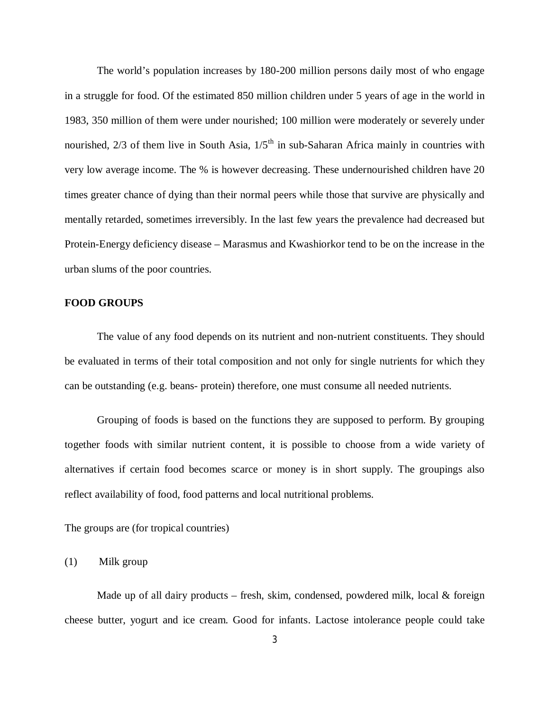The world's population increases by 180-200 million persons daily most of who engage in a struggle for food. Of the estimated 850 million children under 5 years of age in the world in 1983, 350 million of them were under nourished; 100 million were moderately or severely under nourished,  $2/3$  of them live in South Asia,  $1/5<sup>th</sup>$  in sub-Saharan Africa mainly in countries with very low average income. The % is however decreasing. These undernourished children have 20 times greater chance of dying than their normal peers while those that survive are physically and mentally retarded, sometimes irreversibly. In the last few years the prevalence had decreased but Protein-Energy deficiency disease – Marasmus and Kwashiorkor tend to be on the increase in the urban slums of the poor countries.

### **FOOD GROUPS**

The value of any food depends on its nutrient and non-nutrient constituents. They should be evaluated in terms of their total composition and not only for single nutrients for which they can be outstanding (e.g. beans- protein) therefore, one must consume all needed nutrients.

Grouping of foods is based on the functions they are supposed to perform. By grouping together foods with similar nutrient content, it is possible to choose from a wide variety of alternatives if certain food becomes scarce or money is in short supply. The groupings also reflect availability of food, food patterns and local nutritional problems.

The groups are (for tropical countries)

(1) Milk group

Made up of all dairy products – fresh, skim, condensed, powdered milk, local  $\&$  foreign cheese butter, yogurt and ice cream. Good for infants. Lactose intolerance people could take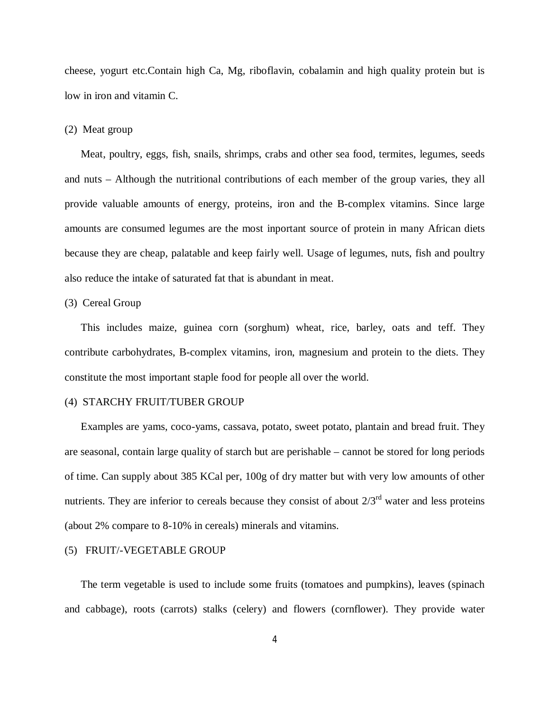cheese, yogurt etc.Contain high Ca, Mg, riboflavin, cobalamin and high quality protein but is low in iron and vitamin C.

### (2) Meat group

Meat, poultry, eggs, fish, snails, shrimps, crabs and other sea food, termites, legumes, seeds and nuts – Although the nutritional contributions of each member of the group varies, they all provide valuable amounts of energy, proteins, iron and the B-complex vitamins. Since large amounts are consumed legumes are the most inportant source of protein in many African diets because they are cheap, palatable and keep fairly well. Usage of legumes, nuts, fish and poultry also reduce the intake of saturated fat that is abundant in meat.

## (3) Cereal Group

This includes maize, guinea corn (sorghum) wheat, rice, barley, oats and teff. They contribute carbohydrates, B-complex vitamins, iron, magnesium and protein to the diets. They constitute the most important staple food for people all over the world.

### (4) STARCHY FRUIT/TUBER GROUP

Examples are yams, coco-yams, cassava, potato, sweet potato, plantain and bread fruit. They are seasonal, contain large quality of starch but are perishable – cannot be stored for long periods of time. Can supply about 385 KCal per, 100g of dry matter but with very low amounts of other nutrients. They are inferior to cereals because they consist of about  $2/3<sup>rd</sup>$  water and less proteins (about 2% compare to 8-10% in cereals) minerals and vitamins.

## (5) FRUIT/-VEGETABLE GROUP

The term vegetable is used to include some fruits (tomatoes and pumpkins), leaves (spinach and cabbage), roots (carrots) stalks (celery) and flowers (cornflower). They provide water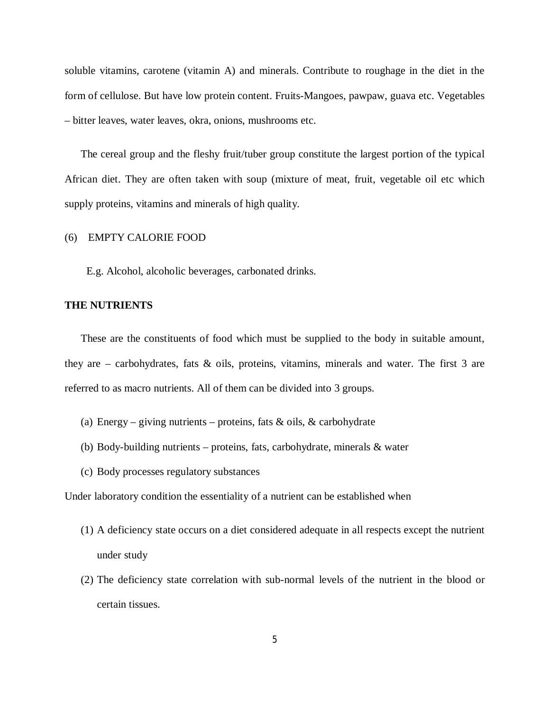soluble vitamins, carotene (vitamin A) and minerals. Contribute to roughage in the diet in the form of cellulose. But have low protein content. Fruits-Mangoes, pawpaw, guava etc. Vegetables – bitter leaves, water leaves, okra, onions, mushrooms etc.

The cereal group and the fleshy fruit/tuber group constitute the largest portion of the typical African diet. They are often taken with soup (mixture of meat, fruit, vegetable oil etc which supply proteins, vitamins and minerals of high quality.

## (6) EMPTY CALORIE FOOD

E.g. Alcohol, alcoholic beverages, carbonated drinks.

### **THE NUTRIENTS**

These are the constituents of food which must be supplied to the body in suitable amount, they are – carbohydrates, fats & oils, proteins, vitamins, minerals and water. The first 3 are referred to as macro nutrients. All of them can be divided into 3 groups.

- (a) Energy giving nutrients proteins, fats  $\&$  oils,  $\&$  carbohydrate
- (b) Body-building nutrients proteins, fats, carbohydrate, minerals & water
- (c) Body processes regulatory substances

Under laboratory condition the essentiality of a nutrient can be established when

- (1) A deficiency state occurs on a diet considered adequate in all respects except the nutrient under study
- (2) The deficiency state correlation with sub-normal levels of the nutrient in the blood or certain tissues.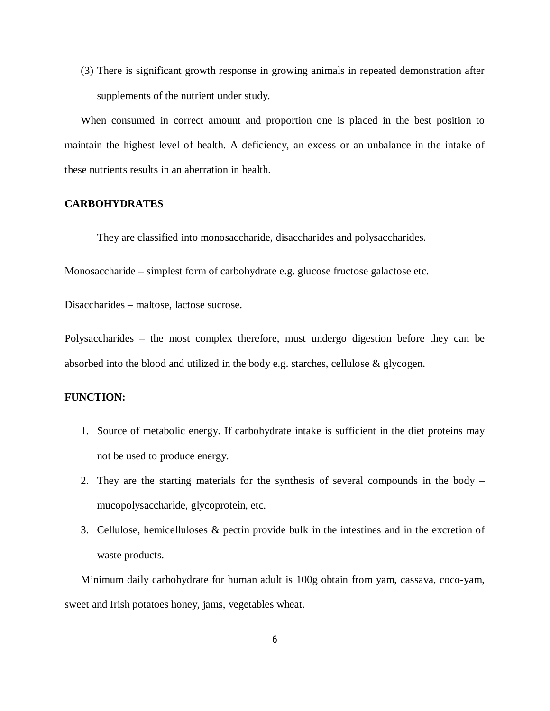(3) There is significant growth response in growing animals in repeated demonstration after supplements of the nutrient under study.

When consumed in correct amount and proportion one is placed in the best position to maintain the highest level of health. A deficiency, an excess or an unbalance in the intake of these nutrients results in an aberration in health.

## **CARBOHYDRATES**

They are classified into monosaccharide, disaccharides and polysaccharides.

Monosaccharide – simplest form of carbohydrate e.g. glucose fructose galactose etc.

Disaccharides – maltose, lactose sucrose.

Polysaccharides – the most complex therefore, must undergo digestion before they can be absorbed into the blood and utilized in the body e.g. starches, cellulose & glycogen.

# **FUNCTION:**

- 1. Source of metabolic energy. If carbohydrate intake is sufficient in the diet proteins may not be used to produce energy.
- 2. They are the starting materials for the synthesis of several compounds in the body mucopolysaccharide, glycoprotein, etc.
- 3. Cellulose, hemicelluloses & pectin provide bulk in the intestines and in the excretion of waste products.

Minimum daily carbohydrate for human adult is 100g obtain from yam, cassava, coco-yam, sweet and Irish potatoes honey, jams, vegetables wheat.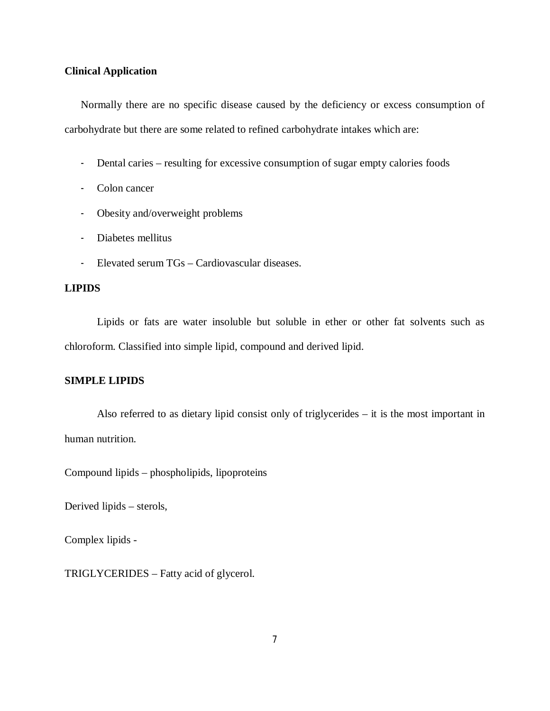## **Clinical Application**

Normally there are no specific disease caused by the deficiency or excess consumption of carbohydrate but there are some related to refined carbohydrate intakes which are:

- Dental caries resulting for excessive consumption of sugar empty calories foods
- Colon cancer
- Obesity and/overweight problems
- Diabetes mellitus
- Elevated serum TGs Cardiovascular diseases.

# **LIPIDS**

Lipids or fats are water insoluble but soluble in ether or other fat solvents such as chloroform. Classified into simple lipid, compound and derived lipid.

# **SIMPLE LIPIDS**

Also referred to as dietary lipid consist only of triglycerides – it is the most important in human nutrition.

Compound lipids – phospholipids, lipoproteins

Derived lipids – sterols,

Complex lipids -

TRIGLYCERIDES – Fatty acid of glycerol.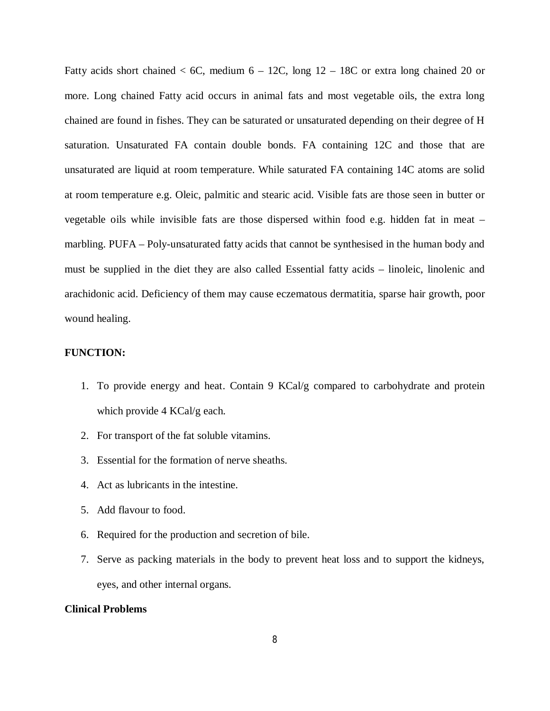Fatty acids short chained  $<$  6C, medium 6 – 12C, long 12 – 18C or extra long chained 20 or more. Long chained Fatty acid occurs in animal fats and most vegetable oils, the extra long chained are found in fishes. They can be saturated or unsaturated depending on their degree of H saturation. Unsaturated FA contain double bonds. FA containing 12C and those that are unsaturated are liquid at room temperature. While saturated FA containing 14C atoms are solid at room temperature e.g. Oleic, palmitic and stearic acid. Visible fats are those seen in butter or vegetable oils while invisible fats are those dispersed within food e.g. hidden fat in meat – marbling. PUFA – Poly-unsaturated fatty acids that cannot be synthesised in the human body and must be supplied in the diet they are also called Essential fatty acids – linoleic, linolenic and arachidonic acid. Deficiency of them may cause eczematous dermatitia, sparse hair growth, poor wound healing.

## **FUNCTION:**

- 1. To provide energy and heat. Contain 9 KCal/g compared to carbohydrate and protein which provide 4 KCal/g each.
- 2. For transport of the fat soluble vitamins.
- 3. Essential for the formation of nerve sheaths.
- 4. Act as lubricants in the intestine.
- 5. Add flavour to food.
- 6. Required for the production and secretion of bile.
- 7. Serve as packing materials in the body to prevent heat loss and to support the kidneys, eyes, and other internal organs.

# **Clinical Problems**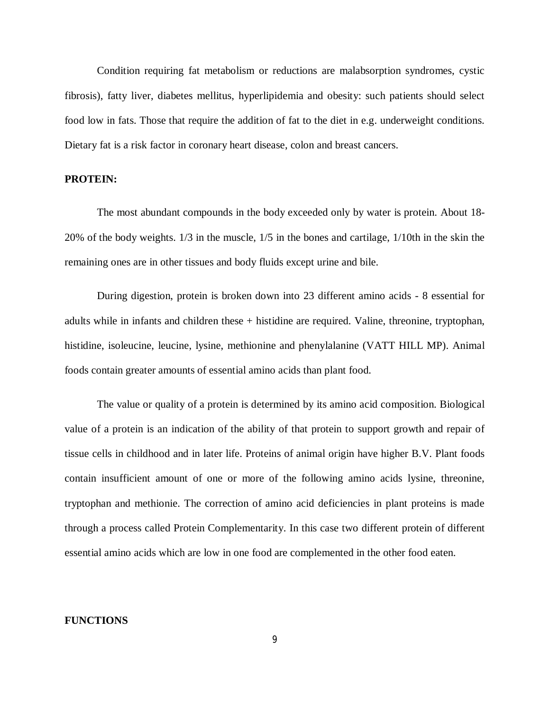Condition requiring fat metabolism or reductions are malabsorption syndromes, cystic fibrosis), fatty liver, diabetes mellitus, hyperlipidemia and obesity: such patients should select food low in fats. Those that require the addition of fat to the diet in e.g. underweight conditions. Dietary fat is a risk factor in coronary heart disease, colon and breast cancers.

### **PROTEIN:**

The most abundant compounds in the body exceeded only by water is protein. About 18- 20% of the body weights. 1/3 in the muscle, 1/5 in the bones and cartilage, 1/10th in the skin the remaining ones are in other tissues and body fluids except urine and bile.

During digestion, protein is broken down into 23 different amino acids - 8 essential for adults while in infants and children these + histidine are required. Valine, threonine, tryptophan, histidine, isoleucine, leucine, lysine, methionine and phenylalanine (VATT HILL MP). Animal foods contain greater amounts of essential amino acids than plant food.

The value or quality of a protein is determined by its amino acid composition. Biological value of a protein is an indication of the ability of that protein to support growth and repair of tissue cells in childhood and in later life. Proteins of animal origin have higher B.V. Plant foods contain insufficient amount of one or more of the following amino acids lysine, threonine, tryptophan and methionie. The correction of amino acid deficiencies in plant proteins is made through a process called Protein Complementarity. In this case two different protein of different essential amino acids which are low in one food are complemented in the other food eaten.

### **FUNCTIONS**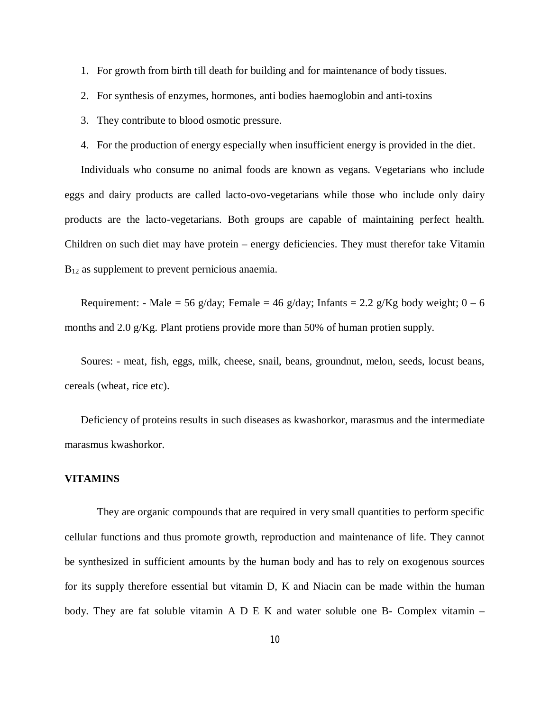- 1. For growth from birth till death for building and for maintenance of body tissues.
- 2. For synthesis of enzymes, hormones, anti bodies haemoglobin and anti-toxins
- 3. They contribute to blood osmotic pressure.
- 4. For the production of energy especially when insufficient energy is provided in the diet.

Individuals who consume no animal foods are known as vegans. Vegetarians who include eggs and dairy products are called lacto-ovo-vegetarians while those who include only dairy products are the lacto-vegetarians. Both groups are capable of maintaining perfect health. Children on such diet may have protein – energy deficiencies. They must therefor take Vitamin B<sub>12</sub> as supplement to prevent pernicious anaemia.

Requirement: - Male = 56 g/day; Female = 46 g/day; Infants = 2.2 g/Kg body weight;  $0 - 6$ months and 2.0 g/Kg. Plant protiens provide more than 50% of human protien supply.

Soures: - meat, fish, eggs, milk, cheese, snail, beans, groundnut, melon, seeds, locust beans, cereals (wheat, rice etc).

Deficiency of proteins results in such diseases as kwashorkor, marasmus and the intermediate marasmus kwashorkor.

# **VITAMINS**

They are organic compounds that are required in very small quantities to perform specific cellular functions and thus promote growth, reproduction and maintenance of life. They cannot be synthesized in sufficient amounts by the human body and has to rely on exogenous sources for its supply therefore essential but vitamin D, K and Niacin can be made within the human body. They are fat soluble vitamin A D E K and water soluble one B- Complex vitamin  $-$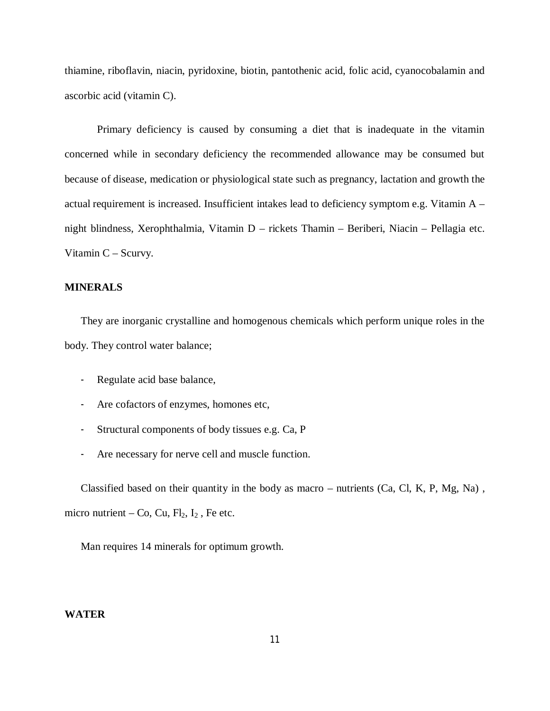thiamine, riboflavin, niacin, pyridoxine, biotin, pantothenic acid, folic acid, cyanocobalamin and ascorbic acid (vitamin C).

Primary deficiency is caused by consuming a diet that is inadequate in the vitamin concerned while in secondary deficiency the recommended allowance may be consumed but because of disease, medication or physiological state such as pregnancy, lactation and growth the actual requirement is increased. Insufficient intakes lead to deficiency symptom e.g. Vitamin A – night blindness, Xerophthalmia, Vitamin D – rickets Thamin – Beriberi, Niacin – Pellagia etc. Vitamin C – Scurvy.

# **MINERALS**

They are inorganic crystalline and homogenous chemicals which perform unique roles in the body. They control water balance;

- Regulate acid base balance,
- Are cofactors of enzymes, homones etc,
- Structural components of body tissues e.g. Ca, P
- Are necessary for nerve cell and muscle function.

Classified based on their quantity in the body as macro – nutrients (Ca, Cl, K, P, Mg, Na) , micro nutrient – Co, Cu,  $Fl_2$ ,  $I_2$ , Fe etc.

Man requires 14 minerals for optimum growth.

## **WATER**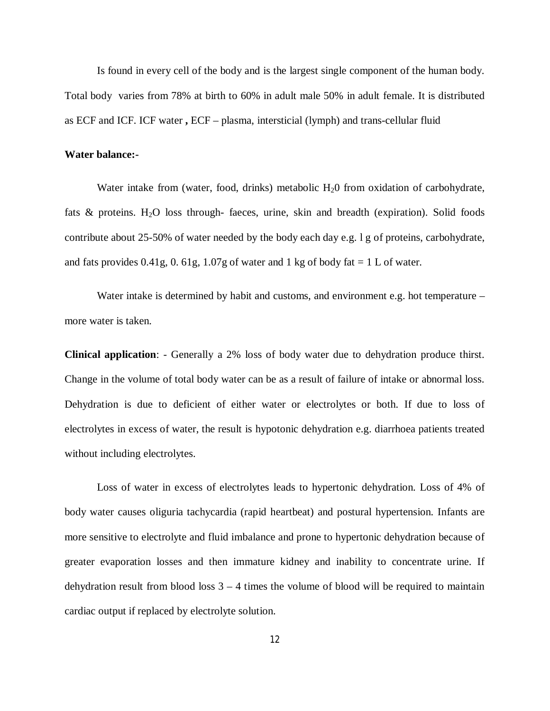Is found in every cell of the body and is the largest single component of the human body. Total body varies from 78% at birth to 60% in adult male 50% in adult female. It is distributed as ECF and ICF. ICF water **,** ECF – plasma, intersticial (lymph) and trans-cellular fluid

#### **Water balance:-**

Water intake from (water, food, drinks) metabolic  $H<sub>2</sub>0$  from oxidation of carbohydrate, fats  $\&$  proteins. H<sub>2</sub>O loss through- faeces, urine, skin and breadth (expiration). Solid foods contribute about 25-50% of water needed by the body each day e.g. l g of proteins, carbohydrate, and fats provides  $0.41g$ ,  $0.61g$ ,  $1.07g$  of water and 1 kg of body fat  $= 1$  L of water.

Water intake is determined by habit and customs, and environment e.g. hot temperature – more water is taken.

**Clinical application**: - Generally a 2% loss of body water due to dehydration produce thirst. Change in the volume of total body water can be as a result of failure of intake or abnormal loss. Dehydration is due to deficient of either water or electrolytes or both. If due to loss of electrolytes in excess of water, the result is hypotonic dehydration e.g. diarrhoea patients treated without including electrolytes.

Loss of water in excess of electrolytes leads to hypertonic dehydration. Loss of 4% of body water causes oliguria tachycardia (rapid heartbeat) and postural hypertension. Infants are more sensitive to electrolyte and fluid imbalance and prone to hypertonic dehydration because of greater evaporation losses and then immature kidney and inability to concentrate urine. If dehydration result from blood loss  $3 - 4$  times the volume of blood will be required to maintain cardiac output if replaced by electrolyte solution.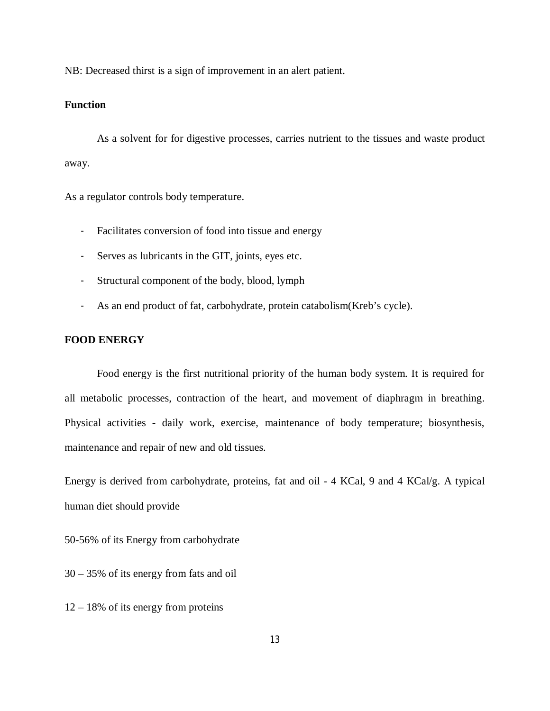NB: Decreased thirst is a sign of improvement in an alert patient.

# **Function**

As a solvent for for digestive processes, carries nutrient to the tissues and waste product away.

As a regulator controls body temperature.

- Facilitates conversion of food into tissue and energy
- Serves as lubricants in the GIT, joints, eyes etc.
- Structural component of the body, blood, lymph
- As an end product of fat, carbohydrate, protein catabolism(Kreb's cycle).

# **FOOD ENERGY**

Food energy is the first nutritional priority of the human body system. It is required for all metabolic processes, contraction of the heart, and movement of diaphragm in breathing. Physical activities - daily work, exercise, maintenance of body temperature; biosynthesis, maintenance and repair of new and old tissues.

Energy is derived from carbohydrate, proteins, fat and oil - 4 KCal, 9 and 4 KCal/g. A typical human diet should provide

50-56% of its Energy from carbohydrate

30 – 35% of its energy from fats and oil

12 – 18% of its energy from proteins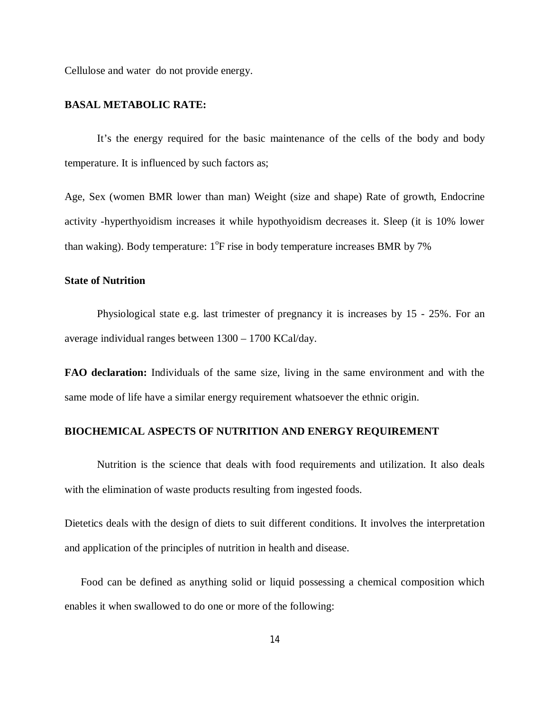Cellulose and water do not provide energy.

### **BASAL METABOLIC RATE:**

It's the energy required for the basic maintenance of the cells of the body and body temperature. It is influenced by such factors as;

Age, Sex (women BMR lower than man) Weight (size and shape) Rate of growth, Endocrine activity -hyperthyoidism increases it while hypothyoidism decreases it. Sleep (it is 10% lower than waking). Body temperature:  $1^{\circ}$ F rise in body temperature increases BMR by 7%

#### **State of Nutrition**

Physiological state e.g. last trimester of pregnancy it is increases by 15 - 25%. For an average individual ranges between 1300 – 1700 KCal/day.

**FAO declaration:** Individuals of the same size, living in the same environment and with the same mode of life have a similar energy requirement whatsoever the ethnic origin.

### **BIOCHEMICAL ASPECTS OF NUTRITION AND ENERGY REQUIREMENT**

Nutrition is the science that deals with food requirements and utilization. It also deals with the elimination of waste products resulting from ingested foods.

Dietetics deals with the design of diets to suit different conditions. It involves the interpretation and application of the principles of nutrition in health and disease.

Food can be defined as anything solid or liquid possessing a chemical composition which enables it when swallowed to do one or more of the following: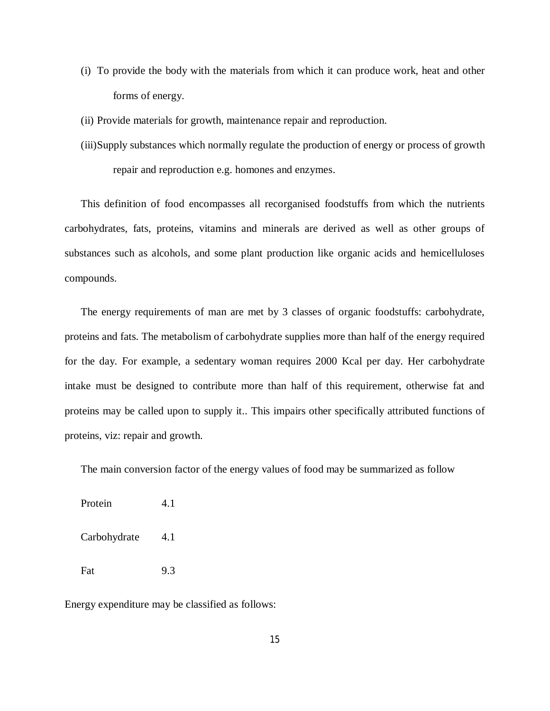- (i) To provide the body with the materials from which it can produce work, heat and other forms of energy.
- (ii) Provide materials for growth, maintenance repair and reproduction.
- (iii)Supply substances which normally regulate the production of energy or process of growth repair and reproduction e.g. homones and enzymes.

This definition of food encompasses all recorganised foodstuffs from which the nutrients carbohydrates, fats, proteins, vitamins and minerals are derived as well as other groups of substances such as alcohols, and some plant production like organic acids and hemicelluloses compounds.

The energy requirements of man are met by 3 classes of organic foodstuffs: carbohydrate, proteins and fats. The metabolism of carbohydrate supplies more than half of the energy required for the day. For example, a sedentary woman requires 2000 Kcal per day. Her carbohydrate intake must be designed to contribute more than half of this requirement, otherwise fat and proteins may be called upon to supply it.. This impairs other specifically attributed functions of proteins, viz: repair and growth.

The main conversion factor of the energy values of food may be summarized as follow

Protein 4.1 Carbohydrate 4.1 Fat 9.3

Energy expenditure may be classified as follows: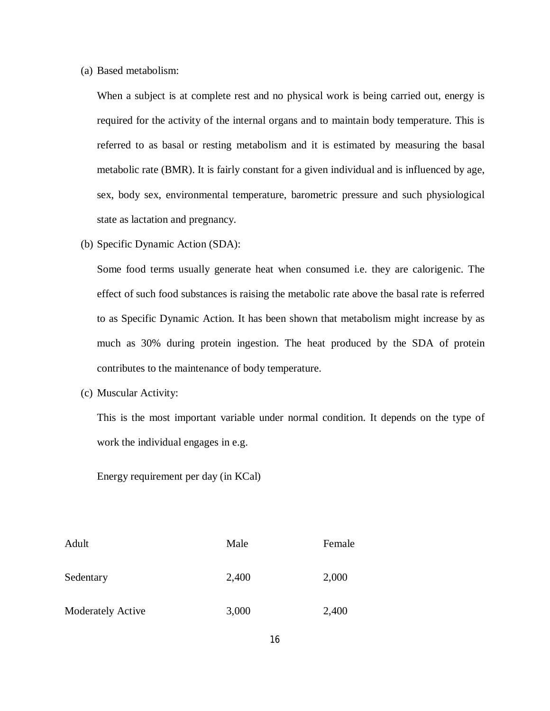(a) Based metabolism:

When a subject is at complete rest and no physical work is being carried out, energy is required for the activity of the internal organs and to maintain body temperature. This is referred to as basal or resting metabolism and it is estimated by measuring the basal metabolic rate (BMR). It is fairly constant for a given individual and is influenced by age, sex, body sex, environmental temperature, barometric pressure and such physiological state as lactation and pregnancy.

(b) Specific Dynamic Action (SDA):

Some food terms usually generate heat when consumed i.e. they are calorigenic. The effect of such food substances is raising the metabolic rate above the basal rate is referred to as Specific Dynamic Action. It has been shown that metabolism might increase by as much as 30% during protein ingestion. The heat produced by the SDA of protein contributes to the maintenance of body temperature.

(c) Muscular Activity:

This is the most important variable under normal condition. It depends on the type of work the individual engages in e.g.

Energy requirement per day (in KCal)

| Adult                    | Male  | Female |
|--------------------------|-------|--------|
| Sedentary                | 2,400 | 2,000  |
| <b>Moderately Active</b> | 3,000 | 2,400  |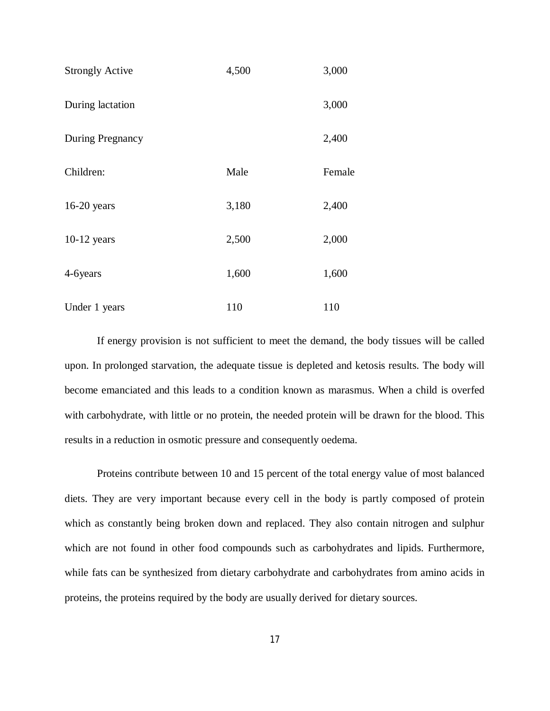| <b>Strongly Active</b> | 4,500 | 3,000  |
|------------------------|-------|--------|
| During lactation       |       | 3,000  |
| During Pregnancy       |       | 2,400  |
| Children:              | Male  | Female |
| $16-20$ years          | 3,180 | 2,400  |
| $10-12$ years          | 2,500 | 2,000  |
| 4-6years               | 1,600 | 1,600  |
| Under 1 years          | 110   | 110    |

If energy provision is not sufficient to meet the demand, the body tissues will be called upon. In prolonged starvation, the adequate tissue is depleted and ketosis results. The body will become emanciated and this leads to a condition known as marasmus. When a child is overfed with carbohydrate, with little or no protein, the needed protein will be drawn for the blood. This results in a reduction in osmotic pressure and consequently oedema.

Proteins contribute between 10 and 15 percent of the total energy value of most balanced diets. They are very important because every cell in the body is partly composed of protein which as constantly being broken down and replaced. They also contain nitrogen and sulphur which are not found in other food compounds such as carbohydrates and lipids. Furthermore, while fats can be synthesized from dietary carbohydrate and carbohydrates from amino acids in proteins, the proteins required by the body are usually derived for dietary sources.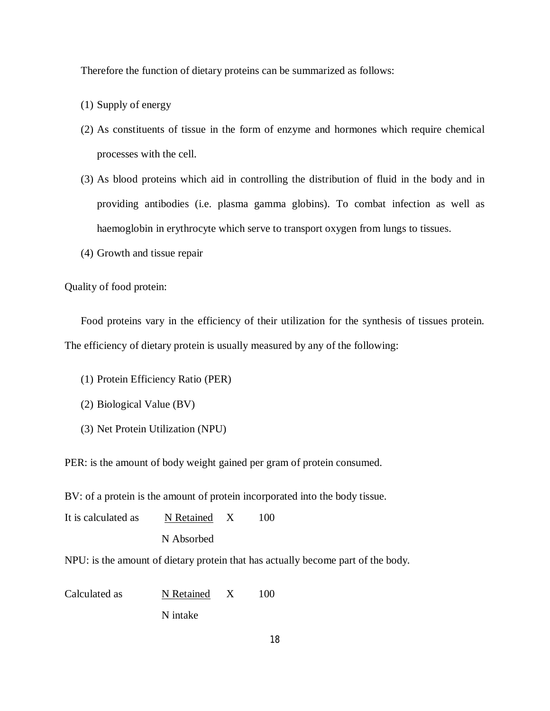Therefore the function of dietary proteins can be summarized as follows:

- (1) Supply of energy
- (2) As constituents of tissue in the form of enzyme and hormones which require chemical processes with the cell.
- (3) As blood proteins which aid in controlling the distribution of fluid in the body and in providing antibodies (i.e. plasma gamma globins). To combat infection as well as haemoglobin in erythrocyte which serve to transport oxygen from lungs to tissues.
- (4) Growth and tissue repair

Quality of food protein:

Food proteins vary in the efficiency of their utilization for the synthesis of tissues protein. The efficiency of dietary protein is usually measured by any of the following:

- (1) Protein Efficiency Ratio (PER)
- (2) Biological Value (BV)
- (3) Net Protein Utilization (NPU)

PER: is the amount of body weight gained per gram of protein consumed.

BV: of a protein is the amount of protein incorporated into the body tissue.

| It is calculated as                                                              | N Retained X |  | 100 |  |  |  |
|----------------------------------------------------------------------------------|--------------|--|-----|--|--|--|
|                                                                                  | N Absorbed   |  |     |  |  |  |
| NPU: is the amount of dietary protein that has actually become part of the body. |              |  |     |  |  |  |
|                                                                                  |              |  |     |  |  |  |

Calculated as N Retained X 100 N intake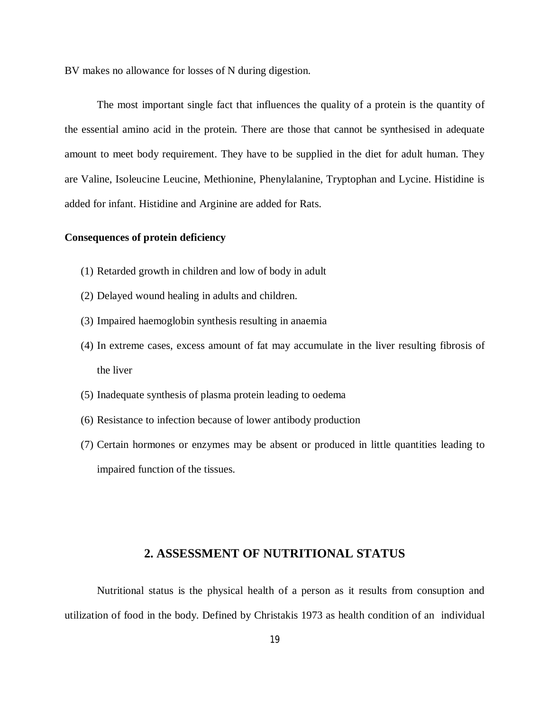BV makes no allowance for losses of N during digestion.

The most important single fact that influences the quality of a protein is the quantity of the essential amino acid in the protein. There are those that cannot be synthesised in adequate amount to meet body requirement. They have to be supplied in the diet for adult human. They are Valine, Isoleucine Leucine, Methionine, Phenylalanine, Tryptophan and Lycine. Histidine is added for infant. Histidine and Arginine are added for Rats.

## **Consequences of protein deficiency**

- (1) Retarded growth in children and low of body in adult
- (2) Delayed wound healing in adults and children.
- (3) Impaired haemoglobin synthesis resulting in anaemia
- (4) In extreme cases, excess amount of fat may accumulate in the liver resulting fibrosis of the liver
- (5) Inadequate synthesis of plasma protein leading to oedema
- (6) Resistance to infection because of lower antibody production
- (7) Certain hormones or enzymes may be absent or produced in little quantities leading to impaired function of the tissues.

# **2. ASSESSMENT OF NUTRITIONAL STATUS**

Nutritional status is the physical health of a person as it results from consuption and utilization of food in the body. Defined by Christakis 1973 as health condition of an individual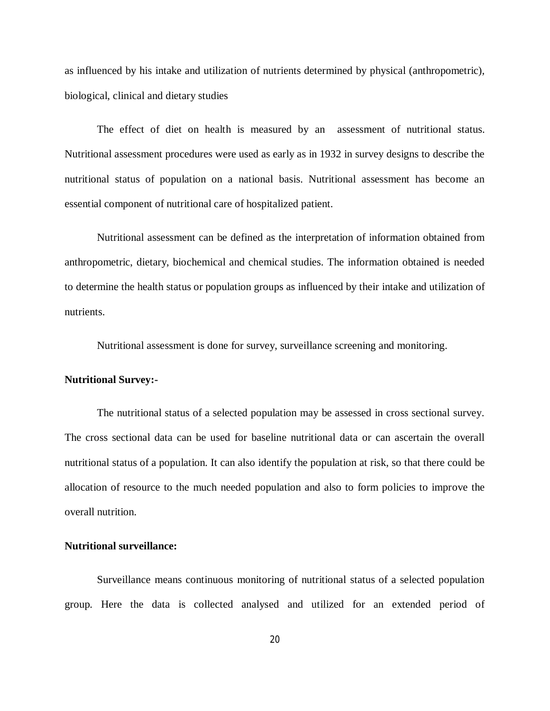as influenced by his intake and utilization of nutrients determined by physical (anthropometric), biological, clinical and dietary studies

The effect of diet on health is measured by an assessment of nutritional status. Nutritional assessment procedures were used as early as in 1932 in survey designs to describe the nutritional status of population on a national basis. Nutritional assessment has become an essential component of nutritional care of hospitalized patient.

Nutritional assessment can be defined as the interpretation of information obtained from anthropometric, dietary, biochemical and chemical studies. The information obtained is needed to determine the health status or population groups as influenced by their intake and utilization of nutrients.

Nutritional assessment is done for survey, surveillance screening and monitoring.

### **Nutritional Survey:-**

The nutritional status of a selected population may be assessed in cross sectional survey. The cross sectional data can be used for baseline nutritional data or can ascertain the overall nutritional status of a population. It can also identify the population at risk, so that there could be allocation of resource to the much needed population and also to form policies to improve the overall nutrition.

#### **Nutritional surveillance:**

Surveillance means continuous monitoring of nutritional status of a selected population group. Here the data is collected analysed and utilized for an extended period of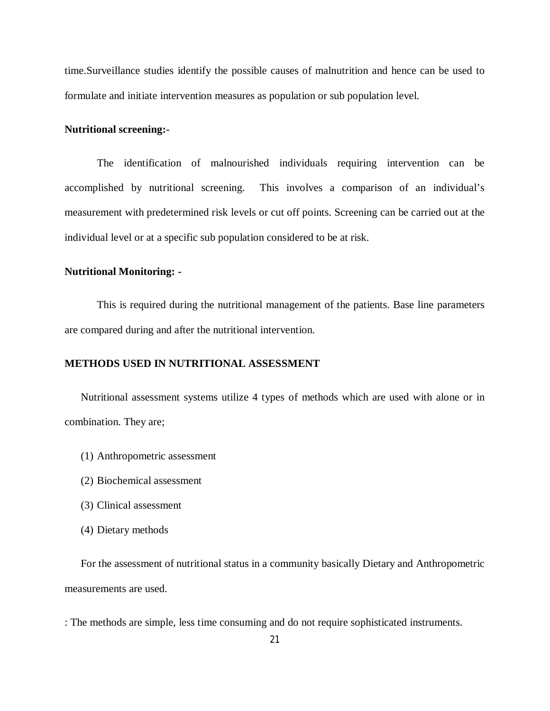time.Surveillance studies identify the possible causes of malnutrition and hence can be used to formulate and initiate intervention measures as population or sub population level.

#### **Nutritional screening:-**

The identification of malnourished individuals requiring intervention can be accomplished by nutritional screening. This involves a comparison of an individual's measurement with predetermined risk levels or cut off points. Screening can be carried out at the individual level or at a specific sub population considered to be at risk.

## **Nutritional Monitoring: -**

This is required during the nutritional management of the patients. Base line parameters are compared during and after the nutritional intervention.

### **METHODS USED IN NUTRITIONAL ASSESSMENT**

Nutritional assessment systems utilize 4 types of methods which are used with alone or in combination. They are;

- (1) Anthropometric assessment
- (2) Biochemical assessment
- (3) Clinical assessment
- (4) Dietary methods

For the assessment of nutritional status in a community basically Dietary and Anthropometric measurements are used.

: The methods are simple, less time consuming and do not require sophisticated instruments.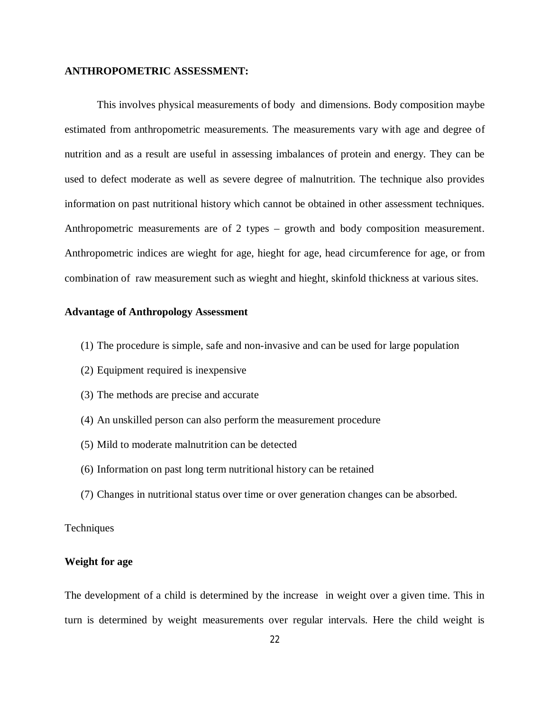### **ANTHROPOMETRIC ASSESSMENT:**

This involves physical measurements of body and dimensions. Body composition maybe estimated from anthropometric measurements. The measurements vary with age and degree of nutrition and as a result are useful in assessing imbalances of protein and energy. They can be used to defect moderate as well as severe degree of malnutrition. The technique also provides information on past nutritional history which cannot be obtained in other assessment techniques. Anthropometric measurements are of 2 types – growth and body composition measurement. Anthropometric indices are wieght for age, hieght for age, head circumference for age, or from combination of raw measurement such as wieght and hieght, skinfold thickness at various sites.

# **Advantage of Anthropology Assessment**

- (1) The procedure is simple, safe and non-invasive and can be used for large population
- (2) Equipment required is inexpensive
- (3) The methods are precise and accurate
- (4) An unskilled person can also perform the measurement procedure
- (5) Mild to moderate malnutrition can be detected
- (6) Information on past long term nutritional history can be retained
- (7) Changes in nutritional status over time or over generation changes can be absorbed.

# **Techniques**

# **Weight for age**

The development of a child is determined by the increase in weight over a given time. This in turn is determined by weight measurements over regular intervals. Here the child weight is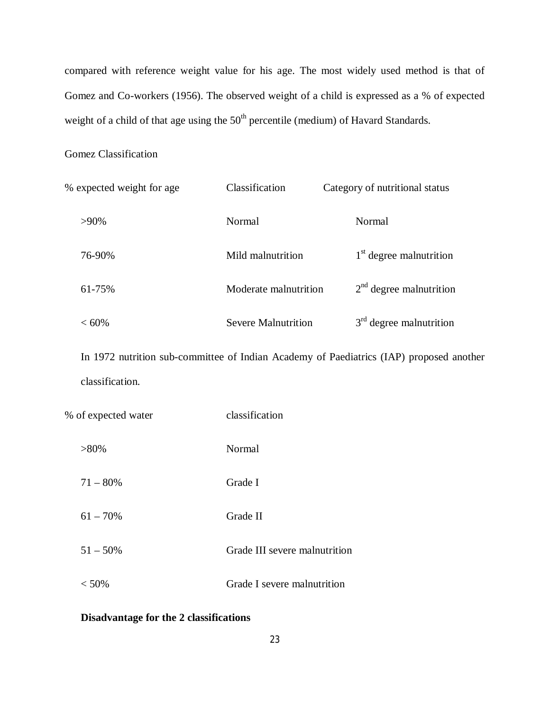compared with reference weight value for his age. The most widely used method is that of Gomez and Co-workers (1956). The observed weight of a child is expressed as a % of expected weight of a child of that age using the  $50<sup>th</sup>$  percentile (medium) of Havard Standards.

# Gomez Classification

| % expected weight for age | Classification        | Category of nutritional status |
|---------------------------|-----------------------|--------------------------------|
| $>90\%$                   | Normal                | Normal                         |
| 76-90%                    | Mild malnutrition     | $1st$ degree malnutrition      |
| 61-75%                    | Moderate malnutrition | $2nd$ degree malnutrition      |
| $<60\%$                   | Severe Malnutrition   | $3rd$ degree malnutrition      |

In 1972 nutrition sub-committee of Indian Academy of Paediatrics (IAP) proposed another classification.

| % of expected water | classification                |
|---------------------|-------------------------------|
| $>80\%$             | Normal                        |
| $71 - 80\%$         | Grade I                       |
| $61 - 70\%$         | Grade II                      |
| $51 - 50\%$         | Grade III severe malnutrition |
| $< 50\%$            | Grade I severe malnutrition   |

# **Disadvantage for the 2 classifications**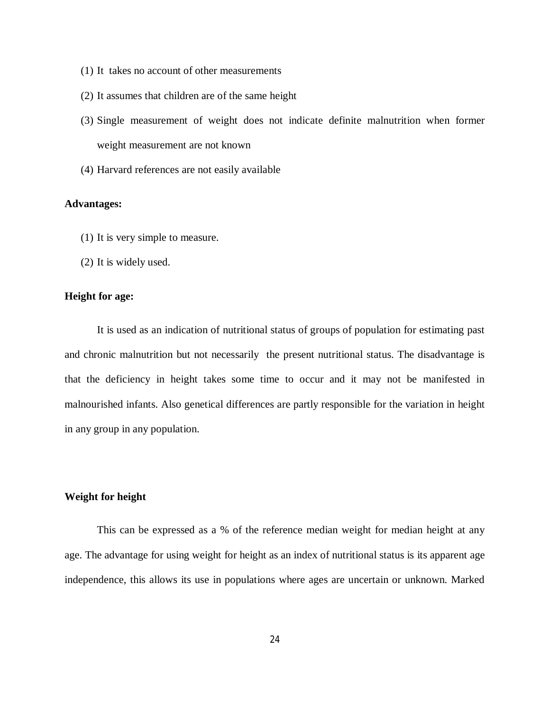- (1) It takes no account of other measurements
- (2) It assumes that children are of the same height
- (3) Single measurement of weight does not indicate definite malnutrition when former weight measurement are not known
- (4) Harvard references are not easily available

## **Advantages:**

- (1) It is very simple to measure.
- (2) It is widely used.

## **Height for age:**

It is used as an indication of nutritional status of groups of population for estimating past and chronic malnutrition but not necessarily the present nutritional status. The disadvantage is that the deficiency in height takes some time to occur and it may not be manifested in malnourished infants. Also genetical differences are partly responsible for the variation in height in any group in any population.

#### **Weight for height**

This can be expressed as a % of the reference median weight for median height at any age. The advantage for using weight for height as an index of nutritional status is its apparent age independence, this allows its use in populations where ages are uncertain or unknown. Marked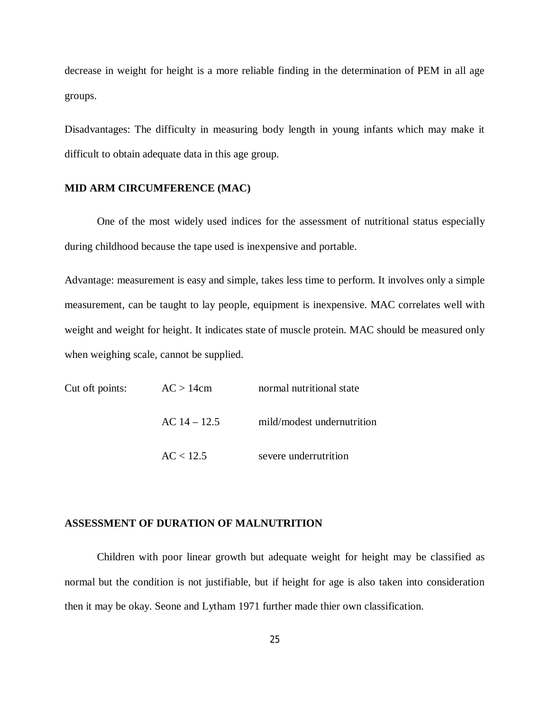decrease in weight for height is a more reliable finding in the determination of PEM in all age groups.

Disadvantages: The difficulty in measuring body length in young infants which may make it difficult to obtain adequate data in this age group.

#### **MID ARM CIRCUMFERENCE (MAC)**

One of the most widely used indices for the assessment of nutritional status especially during childhood because the tape used is inexpensive and portable.

Advantage: measurement is easy and simple, takes less time to perform. It involves only a simple measurement, can be taught to lay people, equipment is inexpensive. MAC correlates well with weight and weight for height. It indicates state of muscle protein. MAC should be measured only when weighing scale, cannot be supplied.

| Cut oft points: | AC > 14cm      | normal nutritional state   |  |
|-----------------|----------------|----------------------------|--|
|                 | $AC 14 - 12.5$ | mild/modest undernutrition |  |
|                 | AC < 12.5      | severe underrutrition      |  |

### **ASSESSMENT OF DURATION OF MALNUTRITION**

Children with poor linear growth but adequate weight for height may be classified as normal but the condition is not justifiable, but if height for age is also taken into consideration then it may be okay. Seone and Lytham 1971 further made thier own classification.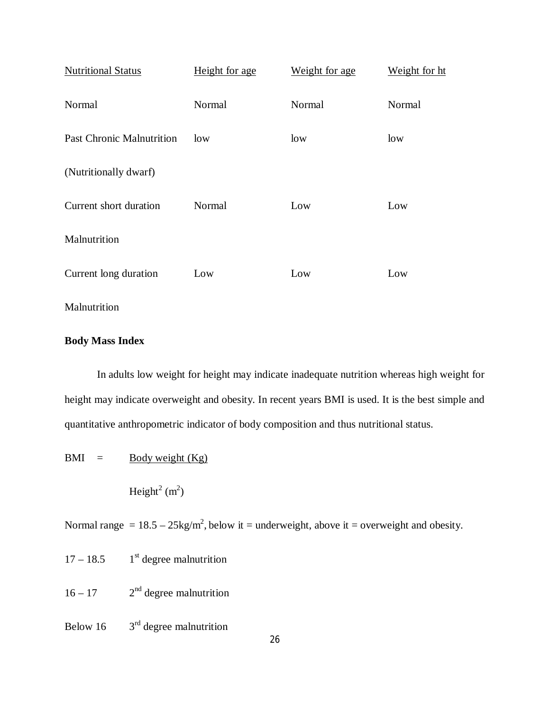| <b>Nutritional Status</b>        | Height for age | Weight for age | Weight for ht |
|----------------------------------|----------------|----------------|---------------|
| Normal                           | Normal         | Normal         | Normal        |
| <b>Past Chronic Malnutrition</b> | low            | low            | low           |
| (Nutritionally dwarf)            |                |                |               |
| Current short duration           | Normal         | Low            | Low           |
| Malnutrition                     |                |                |               |
| Current long duration            | Low            | Low            | Low           |
| Malnutrition                     |                |                |               |

# **Body Mass Index**

In adults low weight for height may indicate inadequate nutrition whereas high weight for height may indicate overweight and obesity. In recent years BMI is used. It is the best simple and quantitative anthropometric indicator of body composition and thus nutritional status.

$$
BMI = \underline{Body weight (Kg)}
$$

Height<sup>2</sup> (m<sup>2</sup>)

Normal range =  $18.5 - 25$ kg/m<sup>2</sup>, below it = underweight, above it = overweight and obesity.

 $17 - 18.5$  $1<sup>st</sup>$  degree malnutrition

 $16 - 17$  2<sup>nd</sup> degree malnutrition

Below 16  $3<sup>rd</sup>$  degree malnutrition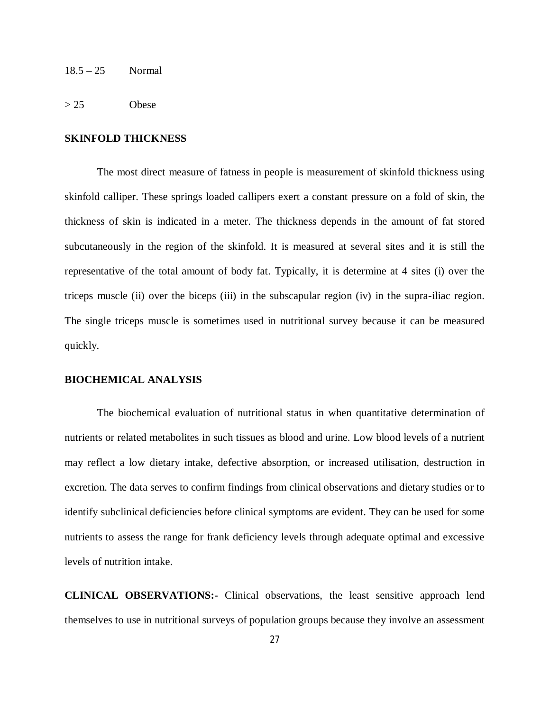18.5 – 25 Normal

 $> 25$  Obese

# **SKINFOLD THICKNESS**

The most direct measure of fatness in people is measurement of skinfold thickness using skinfold calliper. These springs loaded callipers exert a constant pressure on a fold of skin, the thickness of skin is indicated in a meter. The thickness depends in the amount of fat stored subcutaneously in the region of the skinfold. It is measured at several sites and it is still the representative of the total amount of body fat. Typically, it is determine at 4 sites (i) over the triceps muscle (ii) over the biceps (iii) in the subscapular region (iv) in the supra-iliac region. The single triceps muscle is sometimes used in nutritional survey because it can be measured quickly.

#### **BIOCHEMICAL ANALYSIS**

The biochemical evaluation of nutritional status in when quantitative determination of nutrients or related metabolites in such tissues as blood and urine. Low blood levels of a nutrient may reflect a low dietary intake, defective absorption, or increased utilisation, destruction in excretion. The data serves to confirm findings from clinical observations and dietary studies or to identify subclinical deficiencies before clinical symptoms are evident. They can be used for some nutrients to assess the range for frank deficiency levels through adequate optimal and excessive levels of nutrition intake.

**CLINICAL OBSERVATIONS:-** Clinical observations, the least sensitive approach lend themselves to use in nutritional surveys of population groups because they involve an assessment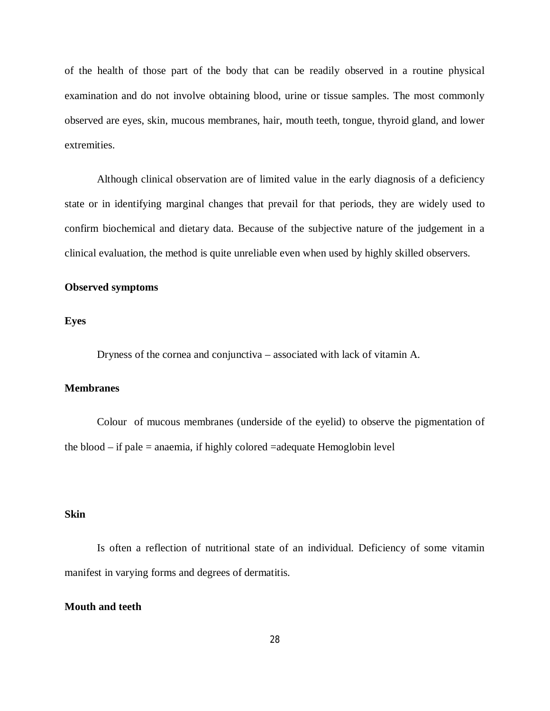of the health of those part of the body that can be readily observed in a routine physical examination and do not involve obtaining blood, urine or tissue samples. The most commonly observed are eyes, skin, mucous membranes, hair, mouth teeth, tongue, thyroid gland, and lower extremities.

Although clinical observation are of limited value in the early diagnosis of a deficiency state or in identifying marginal changes that prevail for that periods, they are widely used to confirm biochemical and dietary data. Because of the subjective nature of the judgement in a clinical evaluation, the method is quite unreliable even when used by highly skilled observers.

# **Observed symptoms**

**Eyes** 

Dryness of the cornea and conjunctiva – associated with lack of vitamin A.

#### **Membranes**

Colour of mucous membranes (underside of the eyelid) to observe the pigmentation of the blood – if pale = anaemia, if highly colored =adequate Hemoglobin level

# **Skin**

Is often a reflection of nutritional state of an individual. Deficiency of some vitamin manifest in varying forms and degrees of dermatitis.

## **Mouth and teeth**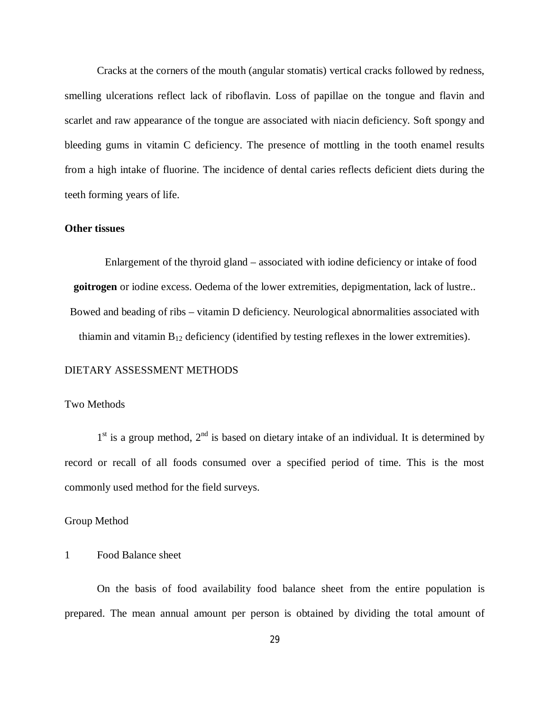Cracks at the corners of the mouth (angular stomatis) vertical cracks followed by redness, smelling ulcerations reflect lack of riboflavin. Loss of papillae on the tongue and flavin and scarlet and raw appearance of the tongue are associated with niacin deficiency. Soft spongy and bleeding gums in vitamin C deficiency. The presence of mottling in the tooth enamel results from a high intake of fluorine. The incidence of dental caries reflects deficient diets during the teeth forming years of life.

# **Other tissues**

Enlargement of the thyroid gland – associated with iodine deficiency or intake of food **goitrogen** or iodine excess. Oedema of the lower extremities, depigmentation, lack of lustre.. Bowed and beading of ribs – vitamin D deficiency. Neurological abnormalities associated with thiamin and vitamin  $B_{12}$  deficiency (identified by testing reflexes in the lower extremities).

# DIETARY ASSESSMENT METHODS

#### Two Methods

 $1<sup>st</sup>$  is a group method,  $2<sup>nd</sup>$  is based on dietary intake of an individual. It is determined by record or recall of all foods consumed over a specified period of time. This is the most commonly used method for the field surveys.

#### Group Method

# 1 Food Balance sheet

On the basis of food availability food balance sheet from the entire population is prepared. The mean annual amount per person is obtained by dividing the total amount of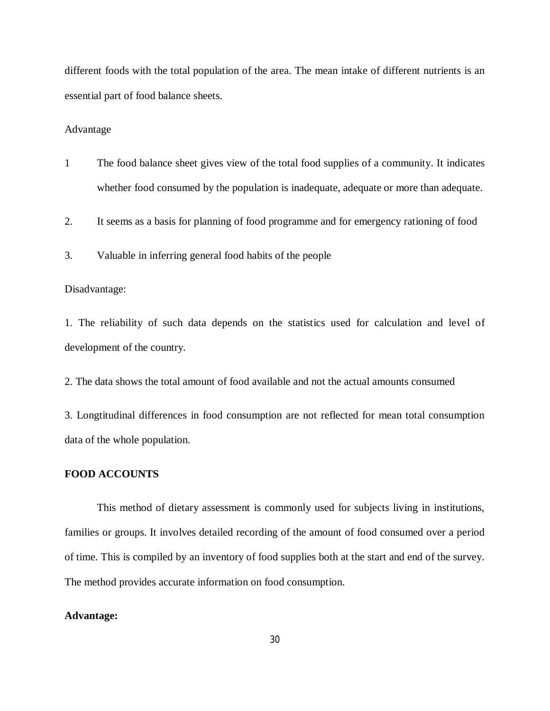different foods with the total population of the area. The mean intake of different nutrients is an essential part of food balance sheets.

#### Advantage

1 The food balance sheet gives view of the total food supplies of a community. It indicates whether food consumed by the population is inadequate, adequate or more than adequate.

2. It seems as a basis for planning of food programme and for emergency rationing of food

3. Valuable in inferring general food habits of the people

#### Disadvantage:

1. The reliability of such data depends on the statistics used for calculation and level of development of the country.

2. The data shows the total amount of food available and not the actual amounts consumed

3. Longtitudinal differences in food consumption are not reflected for mean total consumption data of the whole population.

# **FOOD ACCOUNTS**

This method of dietary assessment is commonly used for subjects living in institutions, families or groups. It involves detailed recording of the amount of food consumed over a period of time. This is compiled by an inventory of food supplies both at the start and end of the survey. The method provides accurate information on food consumption.

#### **Advantage:**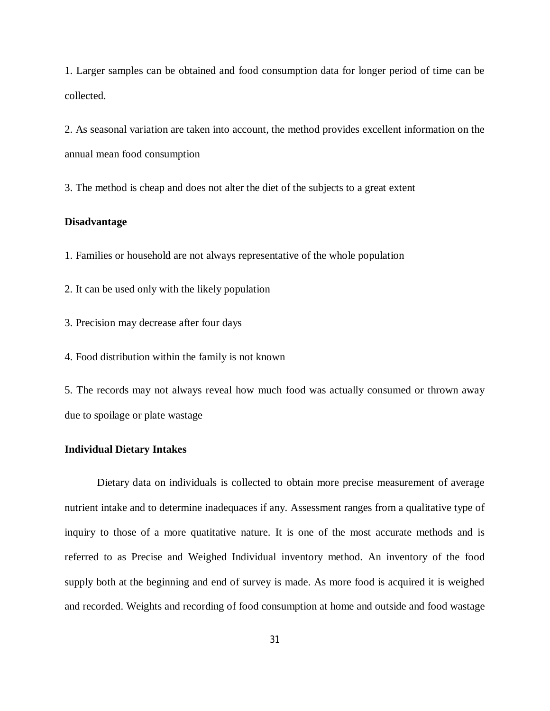1. Larger samples can be obtained and food consumption data for longer period of time can be collected.

2. As seasonal variation are taken into account, the method provides excellent information on the annual mean food consumption

3. The method is cheap and does not alter the diet of the subjects to a great extent

# **Disadvantage**

1. Families or household are not always representative of the whole population

2. It can be used only with the likely population

3. Precision may decrease after four days

4. Food distribution within the family is not known

5. The records may not always reveal how much food was actually consumed or thrown away due to spoilage or plate wastage

#### **Individual Dietary Intakes**

Dietary data on individuals is collected to obtain more precise measurement of average nutrient intake and to determine inadequaces if any. Assessment ranges from a qualitative type of inquiry to those of a more quatitative nature. It is one of the most accurate methods and is referred to as Precise and Weighed Individual inventory method. An inventory of the food supply both at the beginning and end of survey is made. As more food is acquired it is weighed and recorded. Weights and recording of food consumption at home and outside and food wastage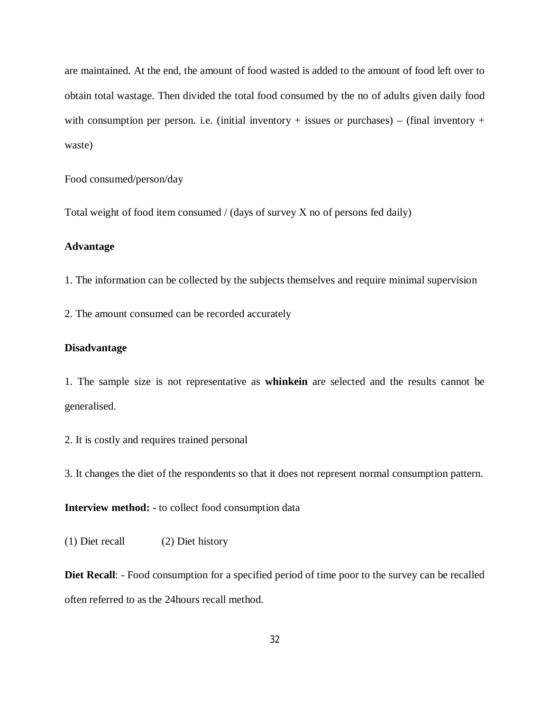are maintained. At the end, the amount of food wasted is added to the amount of food left over to obtain total wastage. Then divided the total food consumed by the no of adults given daily food with consumption per person. i.e. (initial inventory + issues or purchases) – (final inventory + waste)

Food consumed/person/day

Total weight of food item consumed / (days of survey X no of persons fed daily)

# **Advantage**

1. The information can be collected by the subjects themselves and require minimal supervision

2. The amount consumed can be recorded accurately

# **Disadvantage**

1. The sample size is not representative as **whinkein** are selected and the results cannot be generalised.

2. It is costly and requires trained personal

3. It changes the diet of the respondents so that it does not represent normal consumption pattern.

**Interview method: -** to collect food consumption data

(1) Diet recall (2) Diet history

**Diet Recall**: - Food consumption for a specified period of time poor to the survey can be recalled often referred to as the 24hours recall method.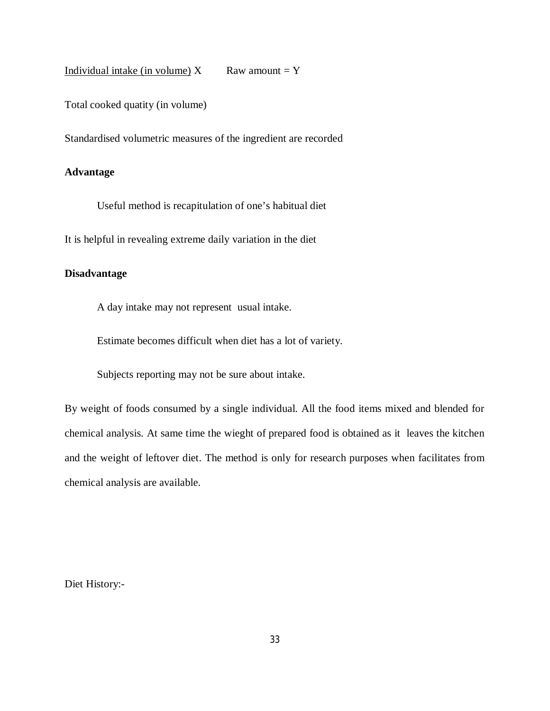Individual intake (in volume)  $X$  Raw amount = Y

Total cooked quatity (in volume)

Standardised volumetric measures of the ingredient are recorded

## **Advantage**

Useful method is recapitulation of one's habitual diet

It is helpful in revealing extreme daily variation in the diet

# **Disadvantage**

A day intake may not represent usual intake.

Estimate becomes difficult when diet has a lot of variety.

Subjects reporting may not be sure about intake.

By weight of foods consumed by a single individual. All the food items mixed and blended for chemical analysis. At same time the wieght of prepared food is obtained as it leaves the kitchen and the weight of leftover diet. The method is only for research purposes when facilitates from chemical analysis are available.

Diet History:-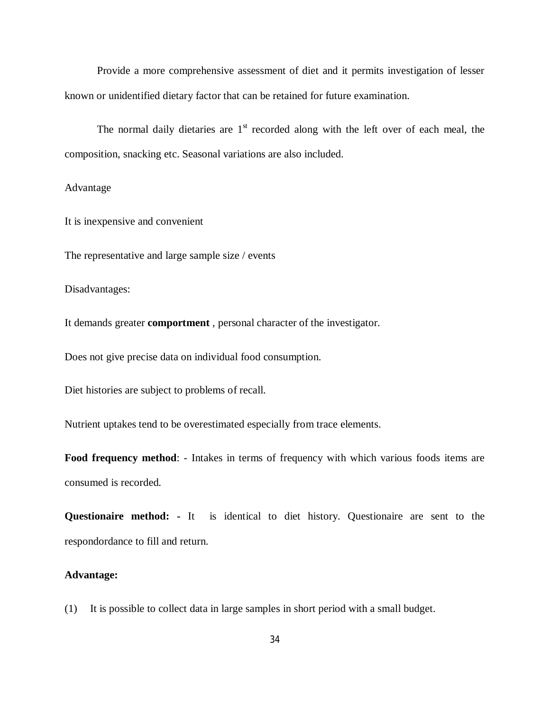Provide a more comprehensive assessment of diet and it permits investigation of lesser known or unidentified dietary factor that can be retained for future examination.

The normal daily dietaries are  $1<sup>st</sup>$  recorded along with the left over of each meal, the composition, snacking etc. Seasonal variations are also included.

Advantage

It is inexpensive and convenient

The representative and large sample size / events

Disadvantages:

It demands greater **comportment** , personal character of the investigator.

Does not give precise data on individual food consumption.

Diet histories are subject to problems of recall.

Nutrient uptakes tend to be overestimated especially from trace elements.

**Food frequency method**: - Intakes in terms of frequency with which various foods items are consumed is recorded.

**Questionaire method: -** It is identical to diet history. Questionaire are sent to the respondordance to fill and return.

### **Advantage:**

(1) It is possible to collect data in large samples in short period with a small budget.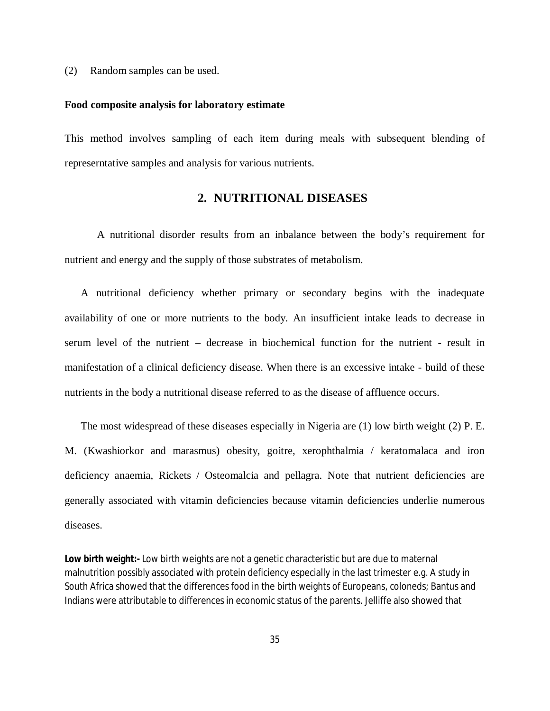(2) Random samples can be used.

#### **Food composite analysis for laboratory estimate**

This method involves sampling of each item during meals with subsequent blending of represerntative samples and analysis for various nutrients.

# **2. NUTRITIONAL DISEASES**

A nutritional disorder results from an inbalance between the body's requirement for nutrient and energy and the supply of those substrates of metabolism.

A nutritional deficiency whether primary or secondary begins with the inadequate availability of one or more nutrients to the body. An insufficient intake leads to decrease in serum level of the nutrient – decrease in biochemical function for the nutrient - result in manifestation of a clinical deficiency disease. When there is an excessive intake - build of these nutrients in the body a nutritional disease referred to as the disease of affluence occurs.

The most widespread of these diseases especially in Nigeria are (1) low birth weight (2) P. E. M. (Kwashiorkor and marasmus) obesity, goitre, xerophthalmia / keratomalaca and iron deficiency anaemia, Rickets / Osteomalcia and pellagra. Note that nutrient deficiencies are generally associated with vitamin deficiencies because vitamin deficiencies underlie numerous diseases.

**Low birth weight:-** Low birth weights are not a genetic characteristic but are due to maternal malnutrition possibly associated with protein deficiency especially in the last trimester e.g. A study in South Africa showed that the differences food in the birth weights of Europeans, coloneds; Bantus and Indians were attributable to differences in economic status of the parents. Jelliffe also showed that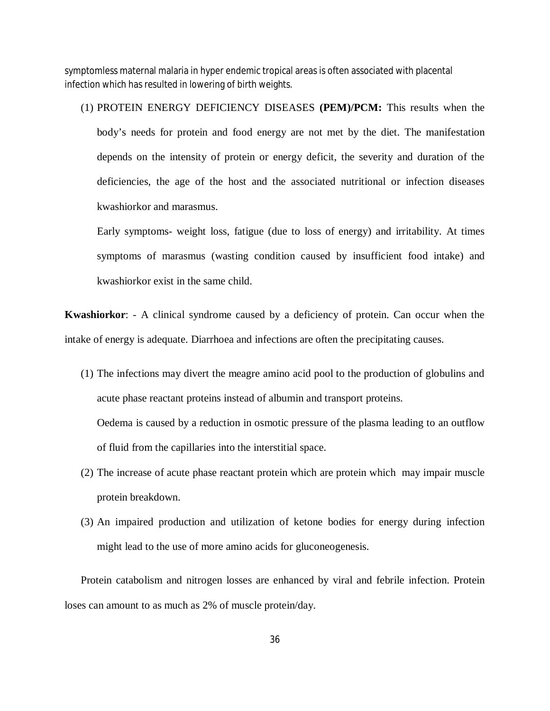symptomless maternal malaria in hyper endemic tropical areas is often associated with placental infection which has resulted in lowering of birth weights.

# (1) PROTEIN ENERGY DEFICIENCY DISEASES **(PEM)/PCM:** This results when the

body's needs for protein and food energy are not met by the diet. The manifestation depends on the intensity of protein or energy deficit, the severity and duration of the deficiencies, the age of the host and the associated nutritional or infection diseases kwashiorkor and marasmus.

Early symptoms- weight loss, fatigue (due to loss of energy) and irritability. At times symptoms of marasmus (wasting condition caused by insufficient food intake) and kwashiorkor exist in the same child.

**Kwashiorkor**: - A clinical syndrome caused by a deficiency of protein. Can occur when the intake of energy is adequate. Diarrhoea and infections are often the precipitating causes.

- (1) The infections may divert the meagre amino acid pool to the production of globulins and acute phase reactant proteins instead of albumin and transport proteins. Oedema is caused by a reduction in osmotic pressure of the plasma leading to an outflow of fluid from the capillaries into the interstitial space.
- (2) The increase of acute phase reactant protein which are protein which may impair muscle protein breakdown.
- (3) An impaired production and utilization of ketone bodies for energy during infection might lead to the use of more amino acids for gluconeogenesis.

Protein catabolism and nitrogen losses are enhanced by viral and febrile infection. Protein loses can amount to as much as 2% of muscle protein/day.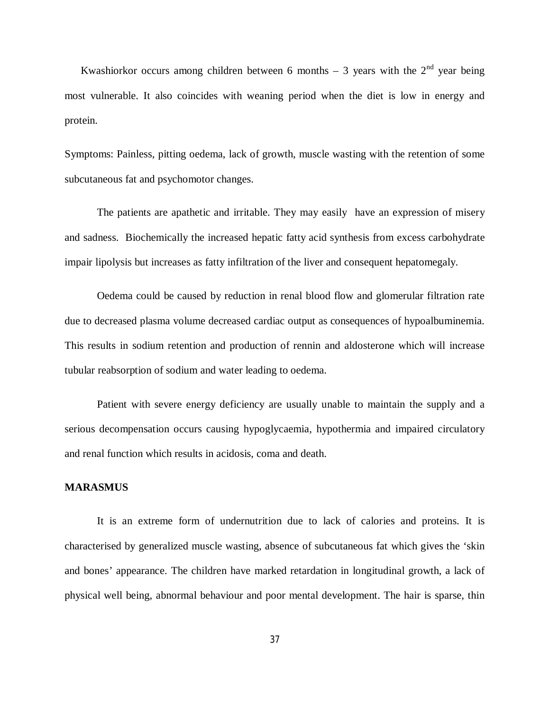Kwashiorkor occurs among children between 6 months – 3 years with the  $2^{nd}$  year being most vulnerable. It also coincides with weaning period when the diet is low in energy and protein.

Symptoms: Painless, pitting oedema, lack of growth, muscle wasting with the retention of some subcutaneous fat and psychomotor changes.

The patients are apathetic and irritable. They may easily have an expression of misery and sadness. Biochemically the increased hepatic fatty acid synthesis from excess carbohydrate impair lipolysis but increases as fatty infiltration of the liver and consequent hepatomegaly.

Oedema could be caused by reduction in renal blood flow and glomerular filtration rate due to decreased plasma volume decreased cardiac output as consequences of hypoalbuminemia. This results in sodium retention and production of rennin and aldosterone which will increase tubular reabsorption of sodium and water leading to oedema.

Patient with severe energy deficiency are usually unable to maintain the supply and a serious decompensation occurs causing hypoglycaemia, hypothermia and impaired circulatory and renal function which results in acidosis, coma and death.

### **MARASMUS**

It is an extreme form of undernutrition due to lack of calories and proteins. It is characterised by generalized muscle wasting, absence of subcutaneous fat which gives the 'skin and bones' appearance. The children have marked retardation in longitudinal growth, a lack of physical well being, abnormal behaviour and poor mental development. The hair is sparse, thin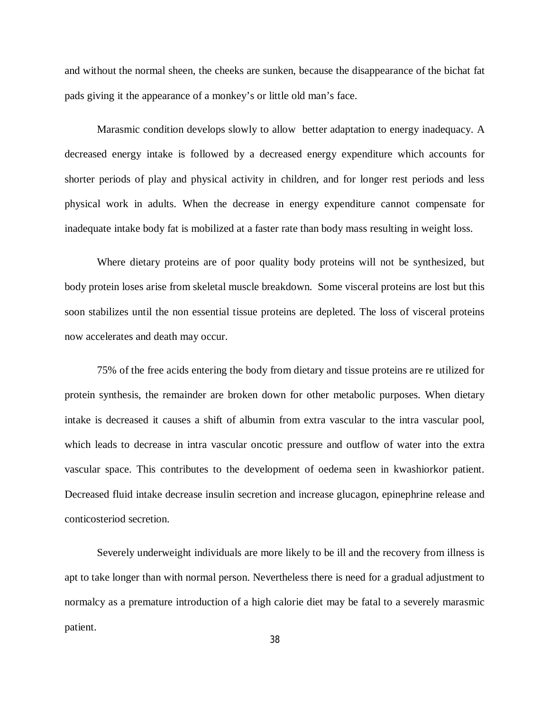and without the normal sheen, the cheeks are sunken, because the disappearance of the bichat fat pads giving it the appearance of a monkey's or little old man's face.

Marasmic condition develops slowly to allow better adaptation to energy inadequacy. A decreased energy intake is followed by a decreased energy expenditure which accounts for shorter periods of play and physical activity in children, and for longer rest periods and less physical work in adults. When the decrease in energy expenditure cannot compensate for inadequate intake body fat is mobilized at a faster rate than body mass resulting in weight loss.

Where dietary proteins are of poor quality body proteins will not be synthesized, but body protein loses arise from skeletal muscle breakdown. Some visceral proteins are lost but this soon stabilizes until the non essential tissue proteins are depleted. The loss of visceral proteins now accelerates and death may occur.

75% of the free acids entering the body from dietary and tissue proteins are re utilized for protein synthesis, the remainder are broken down for other metabolic purposes. When dietary intake is decreased it causes a shift of albumin from extra vascular to the intra vascular pool, which leads to decrease in intra vascular oncotic pressure and outflow of water into the extra vascular space. This contributes to the development of oedema seen in kwashiorkor patient. Decreased fluid intake decrease insulin secretion and increase glucagon, epinephrine release and conticosteriod secretion.

Severely underweight individuals are more likely to be ill and the recovery from illness is apt to take longer than with normal person. Nevertheless there is need for a gradual adjustment to normalcy as a premature introduction of a high calorie diet may be fatal to a severely marasmic patient.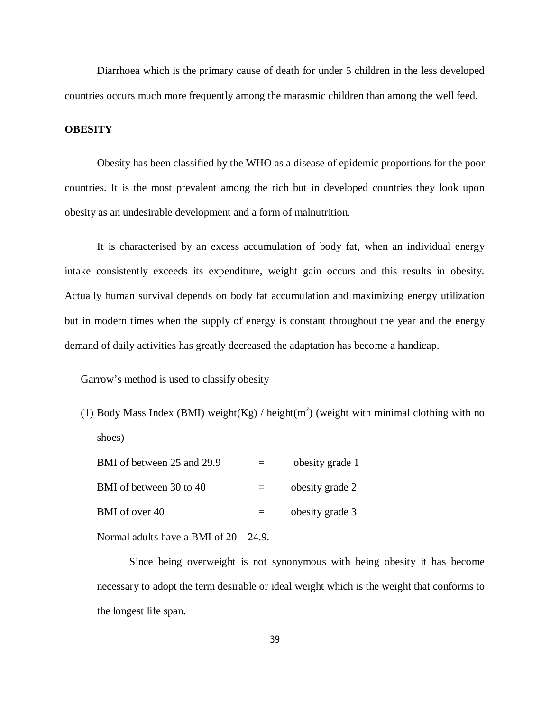Diarrhoea which is the primary cause of death for under 5 children in the less developed countries occurs much more frequently among the marasmic children than among the well feed.

# **OBESITY**

Obesity has been classified by the WHO as a disease of epidemic proportions for the poor countries. It is the most prevalent among the rich but in developed countries they look upon obesity as an undesirable development and a form of malnutrition.

It is characterised by an excess accumulation of body fat, when an individual energy intake consistently exceeds its expenditure, weight gain occurs and this results in obesity. Actually human survival depends on body fat accumulation and maximizing energy utilization but in modern times when the supply of energy is constant throughout the year and the energy demand of daily activities has greatly decreased the adaptation has become a handicap.

Garrow's method is used to classify obesity

(1) Body Mass Index (BMI) weight(Kg) / height(m<sup>2</sup>) (weight with minimal clothing with no shoes)

| BMI of between 25 and 29.9 |     | obesity grade 1 |
|----------------------------|-----|-----------------|
| BMI of between 30 to 40    | $=$ | obesity grade 2 |
| BMI of over 40             |     | obesity grade 3 |

Normal adults have a BMI of 20 – 24.9.

Since being overweight is not synonymous with being obesity it has become necessary to adopt the term desirable or ideal weight which is the weight that conforms to the longest life span.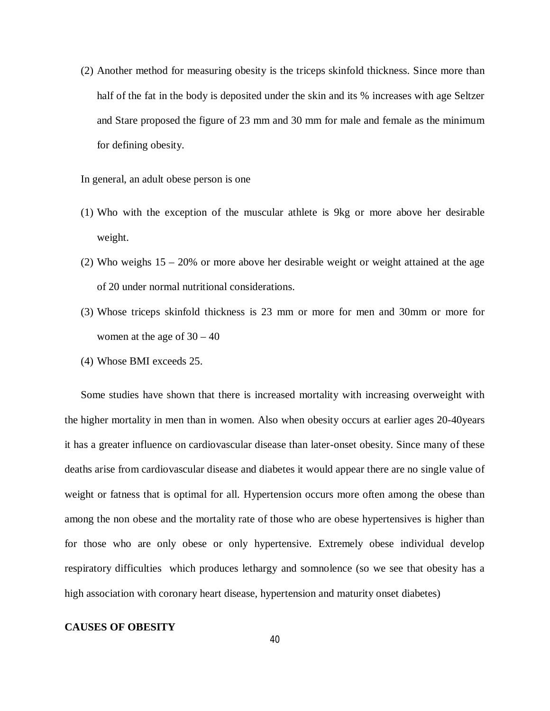(2) Another method for measuring obesity is the triceps skinfold thickness. Since more than half of the fat in the body is deposited under the skin and its % increases with age Seltzer and Stare proposed the figure of 23 mm and 30 mm for male and female as the minimum for defining obesity.

In general, an adult obese person is one

- (1) Who with the exception of the muscular athlete is 9kg or more above her desirable weight.
- (2) Who weighs 15 20% or more above her desirable weight or weight attained at the age of 20 under normal nutritional considerations.
- (3) Whose triceps skinfold thickness is 23 mm or more for men and 30mm or more for women at the age of  $30 - 40$
- (4) Whose BMI exceeds 25.

Some studies have shown that there is increased mortality with increasing overweight with the higher mortality in men than in women. Also when obesity occurs at earlier ages 20-40years it has a greater influence on cardiovascular disease than later-onset obesity. Since many of these deaths arise from cardiovascular disease and diabetes it would appear there are no single value of weight or fatness that is optimal for all. Hypertension occurs more often among the obese than among the non obese and the mortality rate of those who are obese hypertensives is higher than for those who are only obese or only hypertensive. Extremely obese individual develop respiratory difficulties which produces lethargy and somnolence (so we see that obesity has a high association with coronary heart disease, hypertension and maturity onset diabetes)

# **CAUSES OF OBESITY**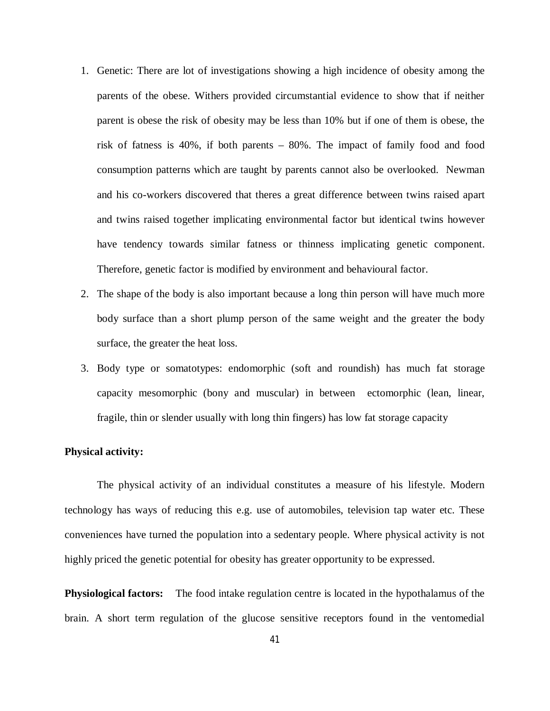- 1. Genetic: There are lot of investigations showing a high incidence of obesity among the parents of the obese. Withers provided circumstantial evidence to show that if neither parent is obese the risk of obesity may be less than 10% but if one of them is obese, the risk of fatness is 40%, if both parents – 80%. The impact of family food and food consumption patterns which are taught by parents cannot also be overlooked. Newman and his co-workers discovered that theres a great difference between twins raised apart and twins raised together implicating environmental factor but identical twins however have tendency towards similar fatness or thinness implicating genetic component. Therefore, genetic factor is modified by environment and behavioural factor.
- 2. The shape of the body is also important because a long thin person will have much more body surface than a short plump person of the same weight and the greater the body surface, the greater the heat loss.
- 3. Body type or somatotypes: endomorphic (soft and roundish) has much fat storage capacity mesomorphic (bony and muscular) in between ectomorphic (lean, linear, fragile, thin or slender usually with long thin fingers) has low fat storage capacity

## **Physical activity:**

The physical activity of an individual constitutes a measure of his lifestyle. Modern technology has ways of reducing this e.g. use of automobiles, television tap water etc. These conveniences have turned the population into a sedentary people. Where physical activity is not highly priced the genetic potential for obesity has greater opportunity to be expressed.

**Physiological factors:** The food intake regulation centre is located in the hypothalamus of the brain. A short term regulation of the glucose sensitive receptors found in the ventomedial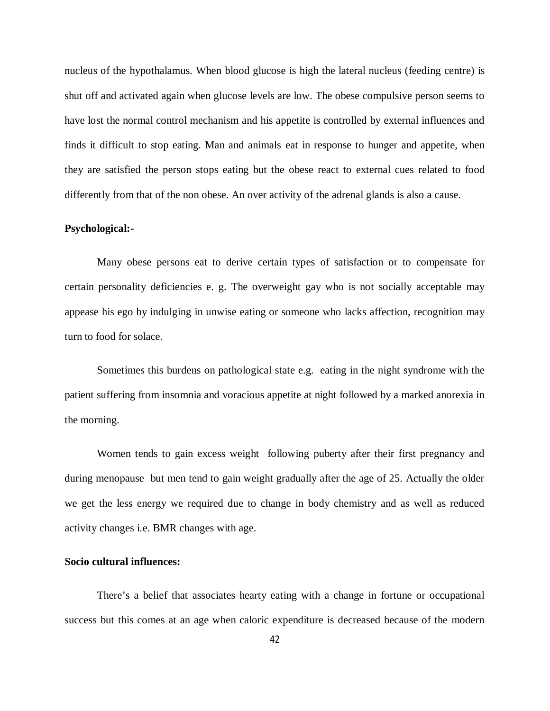nucleus of the hypothalamus. When blood glucose is high the lateral nucleus (feeding centre) is shut off and activated again when glucose levels are low. The obese compulsive person seems to have lost the normal control mechanism and his appetite is controlled by external influences and finds it difficult to stop eating. Man and animals eat in response to hunger and appetite, when they are satisfied the person stops eating but the obese react to external cues related to food differently from that of the non obese. An over activity of the adrenal glands is also a cause.

## **Psychological:-**

Many obese persons eat to derive certain types of satisfaction or to compensate for certain personality deficiencies e. g. The overweight gay who is not socially acceptable may appease his ego by indulging in unwise eating or someone who lacks affection, recognition may turn to food for solace.

Sometimes this burdens on pathological state e.g. eating in the night syndrome with the patient suffering from insomnia and voracious appetite at night followed by a marked anorexia in the morning.

Women tends to gain excess weight following puberty after their first pregnancy and during menopause but men tend to gain weight gradually after the age of 25. Actually the older we get the less energy we required due to change in body chemistry and as well as reduced activity changes i.e. BMR changes with age.

# **Socio cultural influences:**

There's a belief that associates hearty eating with a change in fortune or occupational success but this comes at an age when caloric expenditure is decreased because of the modern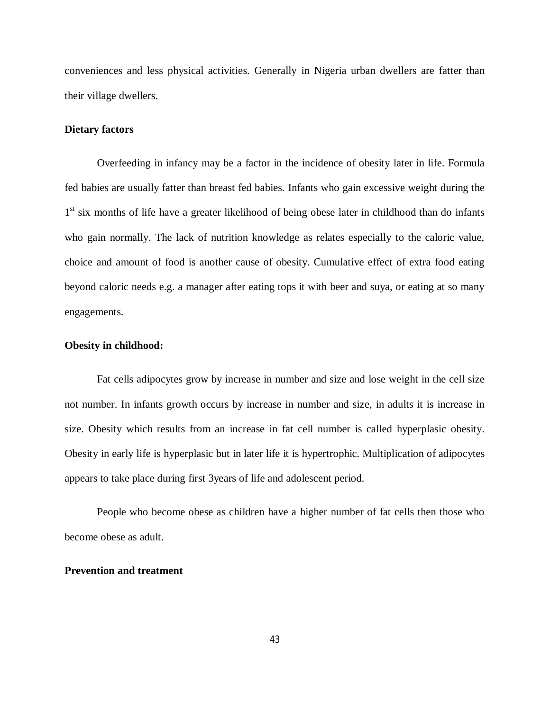conveniences and less physical activities. Generally in Nigeria urban dwellers are fatter than their village dwellers.

## **Dietary factors**

Overfeeding in infancy may be a factor in the incidence of obesity later in life. Formula fed babies are usually fatter than breast fed babies. Infants who gain excessive weight during the 1<sup>st</sup> six months of life have a greater likelihood of being obese later in childhood than do infants who gain normally. The lack of nutrition knowledge as relates especially to the caloric value, choice and amount of food is another cause of obesity. Cumulative effect of extra food eating beyond caloric needs e.g. a manager after eating tops it with beer and suya, or eating at so many engagements.

## **Obesity in childhood:**

Fat cells adipocytes grow by increase in number and size and lose weight in the cell size not number. In infants growth occurs by increase in number and size, in adults it is increase in size. Obesity which results from an increase in fat cell number is called hyperplasic obesity. Obesity in early life is hyperplasic but in later life it is hypertrophic. Multiplication of adipocytes appears to take place during first 3years of life and adolescent period.

People who become obese as children have a higher number of fat cells then those who become obese as adult.

# **Prevention and treatment**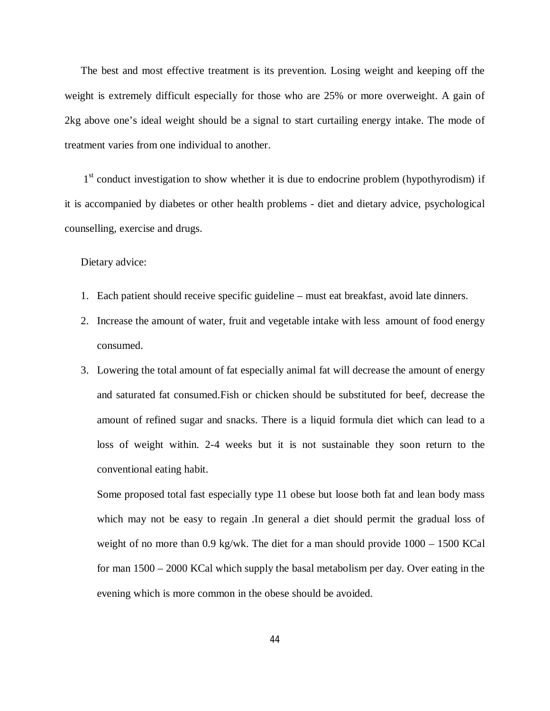The best and most effective treatment is its prevention. Losing weight and keeping off the weight is extremely difficult especially for those who are 25% or more overweight. A gain of 2kg above one's ideal weight should be a signal to start curtailing energy intake. The mode of treatment varies from one individual to another.

1<sup>st</sup> conduct investigation to show whether it is due to endocrine problem (hypothyrodism) if it is accompanied by diabetes or other health problems - diet and dietary advice, psychological counselling, exercise and drugs.

Dietary advice:

- 1. Each patient should receive specific guideline must eat breakfast, avoid late dinners.
- 2. Increase the amount of water, fruit and vegetable intake with less amount of food energy consumed.
- 3. Lowering the total amount of fat especially animal fat will decrease the amount of energy and saturated fat consumed.Fish or chicken should be substituted for beef, decrease the amount of refined sugar and snacks. There is a liquid formula diet which can lead to a loss of weight within. 2-4 weeks but it is not sustainable they soon return to the conventional eating habit.

Some proposed total fast especially type 11 obese but loose both fat and lean body mass which may not be easy to regain .In general a diet should permit the gradual loss of weight of no more than  $0.9 \text{ kg/wk}$ . The diet for a man should provide  $1000 - 1500 \text{ KCal}$ for man 1500 – 2000 KCal which supply the basal metabolism per day. Over eating in the evening which is more common in the obese should be avoided.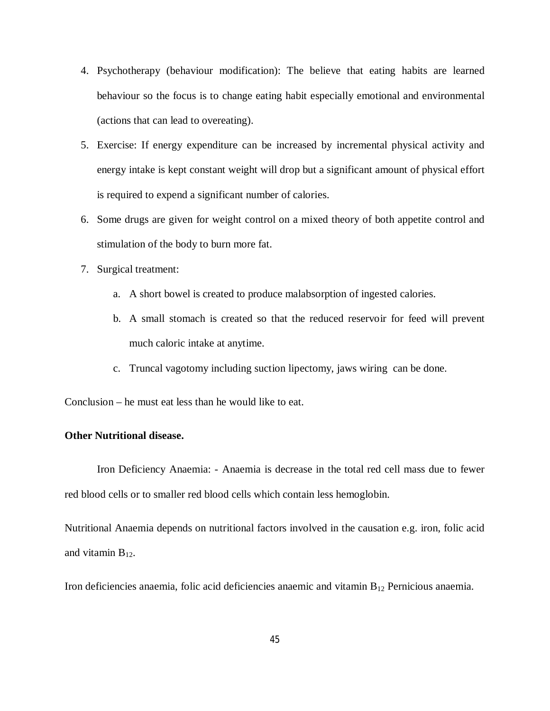- 4. Psychotherapy (behaviour modification): The believe that eating habits are learned behaviour so the focus is to change eating habit especially emotional and environmental (actions that can lead to overeating).
- 5. Exercise: If energy expenditure can be increased by incremental physical activity and energy intake is kept constant weight will drop but a significant amount of physical effort is required to expend a significant number of calories.
- 6. Some drugs are given for weight control on a mixed theory of both appetite control and stimulation of the body to burn more fat.
- 7. Surgical treatment:
	- a. A short bowel is created to produce malabsorption of ingested calories.
	- b. A small stomach is created so that the reduced reservoir for feed will prevent much caloric intake at anytime.
	- c. Truncal vagotomy including suction lipectomy, jaws wiring can be done.

Conclusion – he must eat less than he would like to eat.

# **Other Nutritional disease.**

Iron Deficiency Anaemia: - Anaemia is decrease in the total red cell mass due to fewer red blood cells or to smaller red blood cells which contain less hemoglobin.

Nutritional Anaemia depends on nutritional factors involved in the causation e.g. iron, folic acid and vitamin  $B_{12}$ .

Iron deficiencies anaemia, folic acid deficiencies anaemic and vitamin B<sup>12</sup> Pernicious anaemia.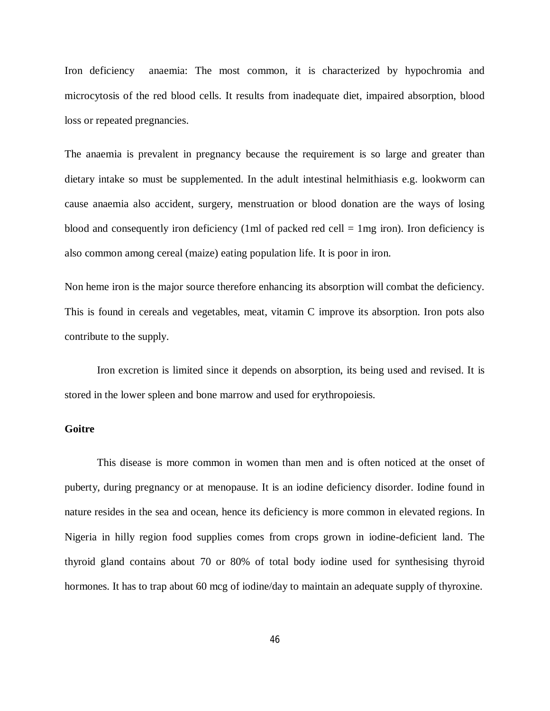Iron deficiency anaemia: The most common, it is characterized by hypochromia and microcytosis of the red blood cells. It results from inadequate diet, impaired absorption, blood loss or repeated pregnancies.

The anaemia is prevalent in pregnancy because the requirement is so large and greater than dietary intake so must be supplemented. In the adult intestinal helmithiasis e.g. lookworm can cause anaemia also accident, surgery, menstruation or blood donation are the ways of losing blood and consequently iron deficiency (1ml of packed red cell  $= 1$ mg iron). Iron deficiency is also common among cereal (maize) eating population life. It is poor in iron.

Non heme iron is the major source therefore enhancing its absorption will combat the deficiency. This is found in cereals and vegetables, meat, vitamin C improve its absorption. Iron pots also contribute to the supply.

Iron excretion is limited since it depends on absorption, its being used and revised. It is stored in the lower spleen and bone marrow and used for erythropoiesis.

# **Goitre**

This disease is more common in women than men and is often noticed at the onset of puberty, during pregnancy or at menopause. It is an iodine deficiency disorder. Iodine found in nature resides in the sea and ocean, hence its deficiency is more common in elevated regions. In Nigeria in hilly region food supplies comes from crops grown in iodine-deficient land. The thyroid gland contains about 70 or 80% of total body iodine used for synthesising thyroid hormones. It has to trap about 60 mcg of iodine/day to maintain an adequate supply of thyroxine.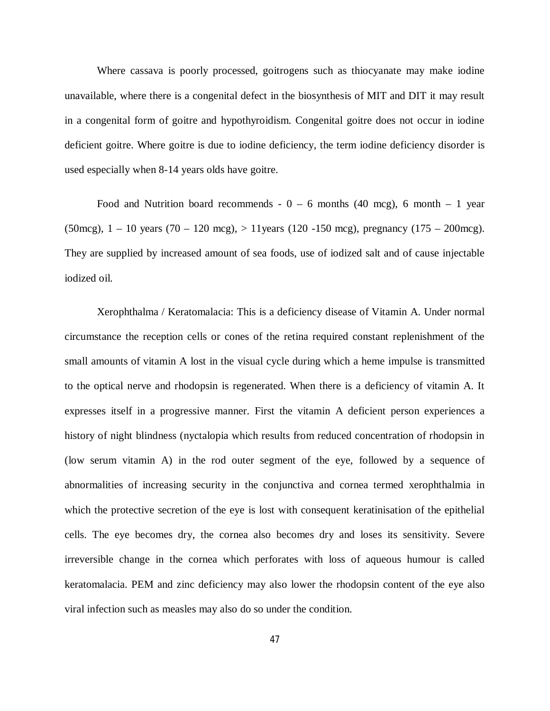Where cassava is poorly processed, goitrogens such as thiocyanate may make iodine unavailable, where there is a congenital defect in the biosynthesis of MIT and DIT it may result in a congenital form of goitre and hypothyroidism. Congenital goitre does not occur in iodine deficient goitre. Where goitre is due to iodine deficiency, the term iodine deficiency disorder is used especially when 8-14 years olds have goitre.

Food and Nutrition board recommends  $-0 - 6$  months (40 mcg), 6 month  $-1$  year (50mcg),  $1 - 10$  years (70 – 120 mcg),  $> 11$  years (120 -150 mcg), pregnancy (175 – 200mcg). They are supplied by increased amount of sea foods, use of iodized salt and of cause injectable iodized oil.

Xerophthalma / Keratomalacia: This is a deficiency disease of Vitamin A. Under normal circumstance the reception cells or cones of the retina required constant replenishment of the small amounts of vitamin A lost in the visual cycle during which a heme impulse is transmitted to the optical nerve and rhodopsin is regenerated. When there is a deficiency of vitamin A. It expresses itself in a progressive manner. First the vitamin A deficient person experiences a history of night blindness (nyctalopia which results from reduced concentration of rhodopsin in (low serum vitamin A) in the rod outer segment of the eye, followed by a sequence of abnormalities of increasing security in the conjunctiva and cornea termed xerophthalmia in which the protective secretion of the eye is lost with consequent keratinisation of the epithelial cells. The eye becomes dry, the cornea also becomes dry and loses its sensitivity. Severe irreversible change in the cornea which perforates with loss of aqueous humour is called keratomalacia. PEM and zinc deficiency may also lower the rhodopsin content of the eye also viral infection such as measles may also do so under the condition.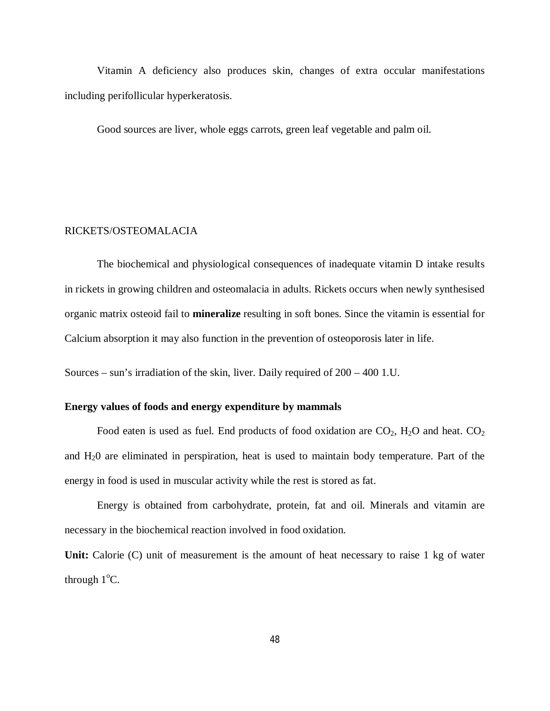Vitamin A deficiency also produces skin, changes of extra occular manifestations including perifollicular hyperkeratosis.

Good sources are liver, whole eggs carrots, green leaf vegetable and palm oil.

# RICKETS/OSTEOMALACIA

The biochemical and physiological consequences of inadequate vitamin D intake results in rickets in growing children and osteomalacia in adults. Rickets occurs when newly synthesised organic matrix osteoid fail to **mineralize** resulting in soft bones. Since the vitamin is essential for Calcium absorption it may also function in the prevention of osteoporosis later in life.

Sources – sun's irradiation of the skin, liver. Daily required of 200 – 400 1.U.

# **Energy values of foods and energy expenditure by mammals**

Food eaten is used as fuel. End products of food oxidation are  $CO<sub>2</sub>$ , H<sub>2</sub>O and heat.  $CO<sub>2</sub>$ and H20 are eliminated in perspiration, heat is used to maintain body temperature. Part of the energy in food is used in muscular activity while the rest is stored as fat.

Energy is obtained from carbohydrate, protein, fat and oil. Minerals and vitamin are necessary in the biochemical reaction involved in food oxidation.

Unit: Calorie (C) unit of measurement is the amount of heat necessary to raise 1 kg of water through  $1^{\circ}$ C.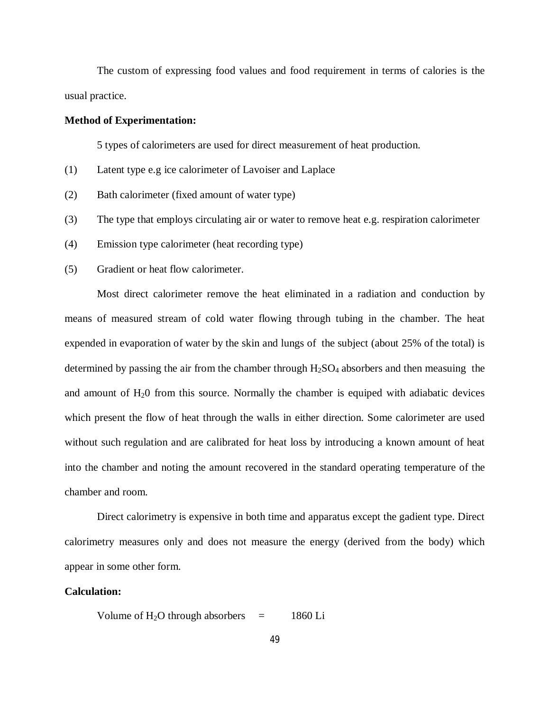The custom of expressing food values and food requirement in terms of calories is the usual practice.

## **Method of Experimentation:**

5 types of calorimeters are used for direct measurement of heat production.

- (1) Latent type e.g ice calorimeter of Lavoiser and Laplace
- (2) Bath calorimeter (fixed amount of water type)
- (3) The type that employs circulating air or water to remove heat e.g. respiration calorimeter
- (4) Emission type calorimeter (heat recording type)
- (5) Gradient or heat flow calorimeter.

Most direct calorimeter remove the heat eliminated in a radiation and conduction by means of measured stream of cold water flowing through tubing in the chamber. The heat expended in evaporation of water by the skin and lungs of the subject (about 25% of the total) is determined by passing the air from the chamber through  $H_2SO_4$  absorbers and then measuing the and amount of  $H_20$  from this source. Normally the chamber is equiped with adiabatic devices which present the flow of heat through the walls in either direction. Some calorimeter are used without such regulation and are calibrated for heat loss by introducing a known amount of heat into the chamber and noting the amount recovered in the standard operating temperature of the chamber and room.

Direct calorimetry is expensive in both time and apparatus except the gadient type. Direct calorimetry measures only and does not measure the energy (derived from the body) which appear in some other form.

## **Calculation:**

Volume of 
$$
H_2O
$$
 through absorbers = 1860 Li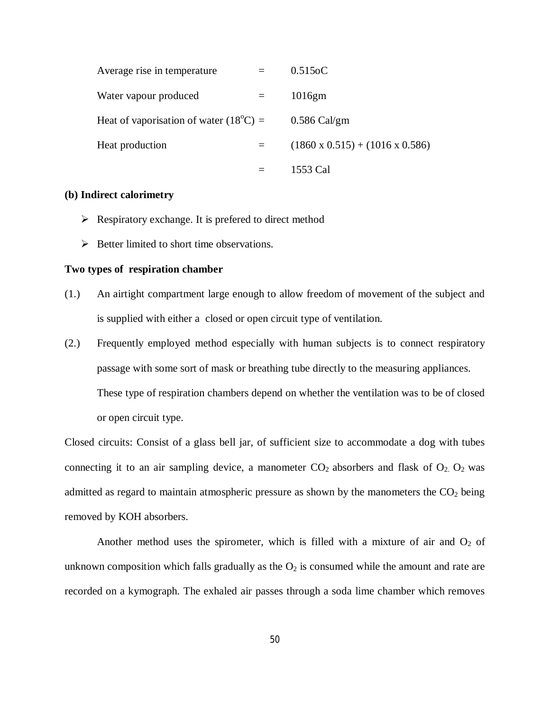| Average rise in temperature                     | $0.515$ oC                                  |
|-------------------------------------------------|---------------------------------------------|
| Water vapour produced                           | 1016gm                                      |
| Heat of vaporisation of water $(18^{\circ}C)$ = | $0.586$ Cal/gm                              |
| Heat production                                 | $(1860 \times 0.515) + (1016 \times 0.586)$ |
|                                                 | 1553 Cal                                    |

### **(b) Indirect calorimetry**

- $\triangleright$  Respiratory exchange. It is prefered to direct method
- $\triangleright$  Better limited to short time observations.

#### **Two types of respiration chamber**

- (1.) An airtight compartment large enough to allow freedom of movement of the subject and is supplied with either a closed or open circuit type of ventilation.
- (2.) Frequently employed method especially with human subjects is to connect respiratory passage with some sort of mask or breathing tube directly to the measuring appliances. These type of respiration chambers depend on whether the ventilation was to be of closed or open circuit type.

Closed circuits: Consist of a glass bell jar, of sufficient size to accommodate a dog with tubes connecting it to an air sampling device, a manometer  $CO_2$  absorbers and flask of  $O_2$ .  $O_2$  was admitted as regard to maintain atmospheric pressure as shown by the manometers the  $CO<sub>2</sub>$  being removed by KOH absorbers.

Another method uses the spirometer, which is filled with a mixture of air and  $O_2$  of unknown composition which falls gradually as the  $O_2$  is consumed while the amount and rate are recorded on a kymograph. The exhaled air passes through a soda lime chamber which removes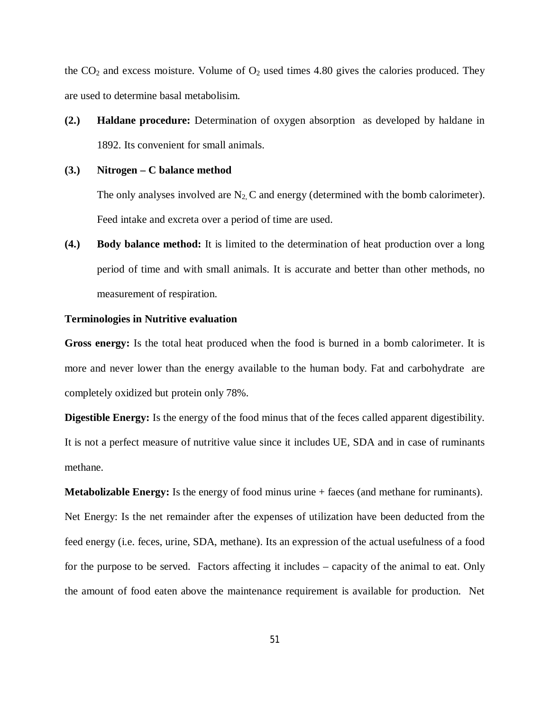the  $CO<sub>2</sub>$  and excess moisture. Volume of  $O<sub>2</sub>$  used times 4.80 gives the calories produced. They are used to determine basal metabolisim.

**(2.) Haldane procedure:** Determination of oxygen absorption as developed by haldane in 1892. Its convenient for small animals.

## **(3.) Nitrogen – C balance method**

The only analyses involved are  $N_2$  C and energy (determined with the bomb calorimeter). Feed intake and excreta over a period of time are used.

**(4.) Body balance method:** It is limited to the determination of heat production over a long period of time and with small animals. It is accurate and better than other methods, no measurement of respiration.

## **Terminologies in Nutritive evaluation**

**Gross energy:** Is the total heat produced when the food is burned in a bomb calorimeter. It is more and never lower than the energy available to the human body. Fat and carbohydrate are completely oxidized but protein only 78%.

**Digestible Energy:** Is the energy of the food minus that of the feces called apparent digestibility. It is not a perfect measure of nutritive value since it includes UE, SDA and in case of ruminants methane.

**Metabolizable Energy:** Is the energy of food minus urine + faeces (and methane for ruminants). Net Energy: Is the net remainder after the expenses of utilization have been deducted from the feed energy (i.e. feces, urine, SDA, methane). Its an expression of the actual usefulness of a food for the purpose to be served. Factors affecting it includes – capacity of the animal to eat. Only the amount of food eaten above the maintenance requirement is available for production. Net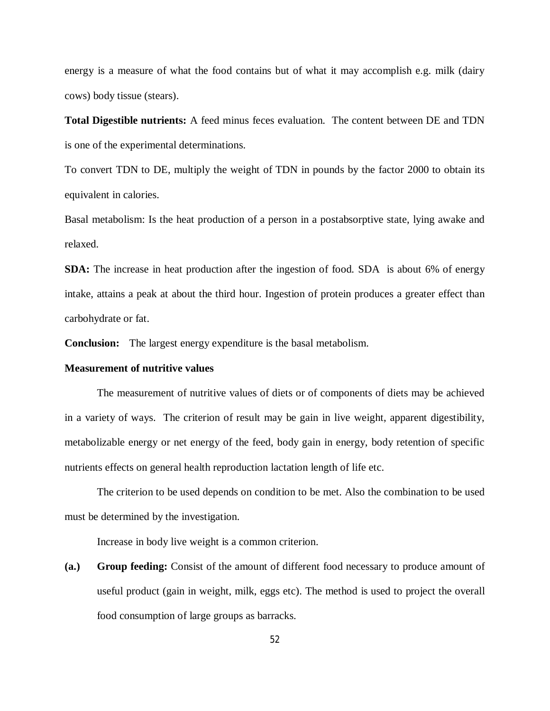energy is a measure of what the food contains but of what it may accomplish e.g. milk (dairy cows) body tissue (stears).

**Total Digestible nutrients:** A feed minus feces evaluation. The content between DE and TDN is one of the experimental determinations.

To convert TDN to DE, multiply the weight of TDN in pounds by the factor 2000 to obtain its equivalent in calories.

Basal metabolism: Is the heat production of a person in a postabsorptive state, lying awake and relaxed.

**SDA:** The increase in heat production after the ingestion of food. SDA is about 6% of energy intake, attains a peak at about the third hour. Ingestion of protein produces a greater effect than carbohydrate or fat.

**Conclusion:** The largest energy expenditure is the basal metabolism.

## **Measurement of nutritive values**

The measurement of nutritive values of diets or of components of diets may be achieved in a variety of ways. The criterion of result may be gain in live weight, apparent digestibility, metabolizable energy or net energy of the feed, body gain in energy, body retention of specific nutrients effects on general health reproduction lactation length of life etc.

The criterion to be used depends on condition to be met. Also the combination to be used must be determined by the investigation.

Increase in body live weight is a common criterion.

**(a.) Group feeding:** Consist of the amount of different food necessary to produce amount of useful product (gain in weight, milk, eggs etc). The method is used to project the overall food consumption of large groups as barracks.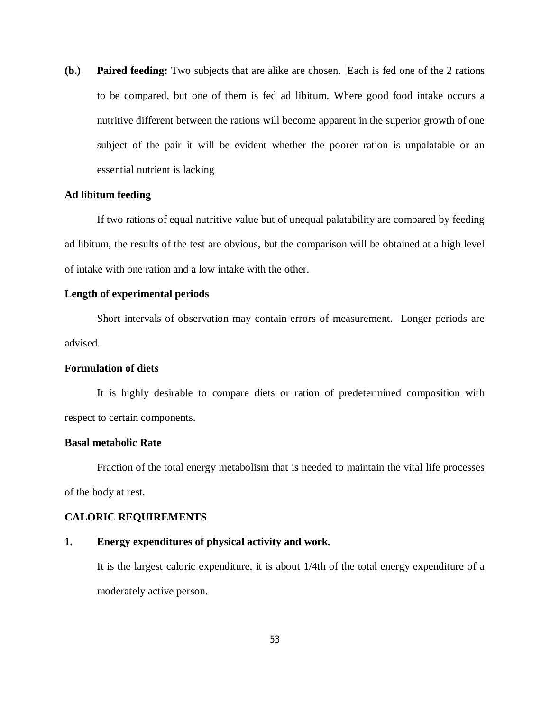**(b.) Paired feeding:** Two subjects that are alike are chosen. Each is fed one of the 2 rations to be compared, but one of them is fed ad libitum. Where good food intake occurs a nutritive different between the rations will become apparent in the superior growth of one subject of the pair it will be evident whether the poorer ration is unpalatable or an essential nutrient is lacking

## **Ad libitum feeding**

If two rations of equal nutritive value but of unequal palatability are compared by feeding ad libitum, the results of the test are obvious, but the comparison will be obtained at a high level of intake with one ration and a low intake with the other.

## **Length of experimental periods**

Short intervals of observation may contain errors of measurement. Longer periods are advised.

## **Formulation of diets**

It is highly desirable to compare diets or ration of predetermined composition with respect to certain components.

## **Basal metabolic Rate**

Fraction of the total energy metabolism that is needed to maintain the vital life processes of the body at rest.

# **CALORIC REQUIREMENTS**

## **1. Energy expenditures of physical activity and work.**

It is the largest caloric expenditure, it is about 1/4th of the total energy expenditure of a moderately active person.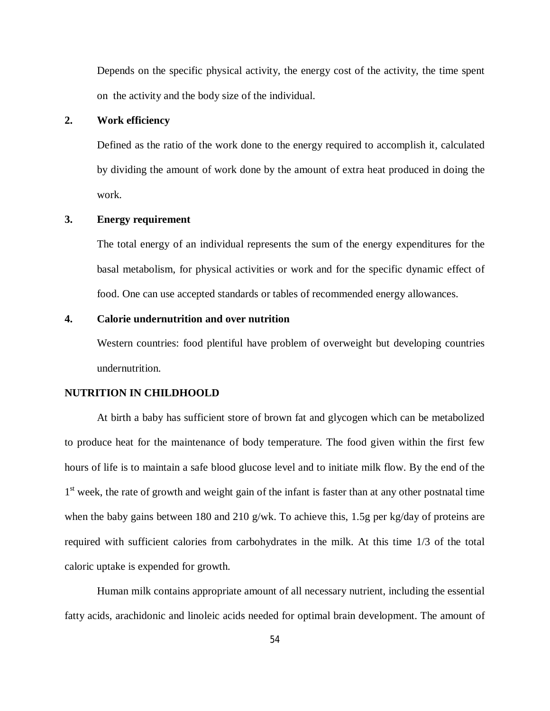Depends on the specific physical activity, the energy cost of the activity, the time spent on the activity and the body size of the individual.

# **2. Work efficiency**

Defined as the ratio of the work done to the energy required to accomplish it, calculated by dividing the amount of work done by the amount of extra heat produced in doing the work.

## **3. Energy requirement**

The total energy of an individual represents the sum of the energy expenditures for the basal metabolism, for physical activities or work and for the specific dynamic effect of food. One can use accepted standards or tables of recommended energy allowances.

# **4. Calorie undernutrition and over nutrition**

Western countries: food plentiful have problem of overweight but developing countries undernutrition.

## **NUTRITION IN CHILDHOOLD**

At birth a baby has sufficient store of brown fat and glycogen which can be metabolized to produce heat for the maintenance of body temperature. The food given within the first few hours of life is to maintain a safe blood glucose level and to initiate milk flow. By the end of the 1<sup>st</sup> week, the rate of growth and weight gain of the infant is faster than at any other postnatal time when the baby gains between 180 and 210 g/wk. To achieve this, 1.5g per kg/day of proteins are required with sufficient calories from carbohydrates in the milk. At this time 1/3 of the total caloric uptake is expended for growth.

Human milk contains appropriate amount of all necessary nutrient, including the essential fatty acids, arachidonic and linoleic acids needed for optimal brain development. The amount of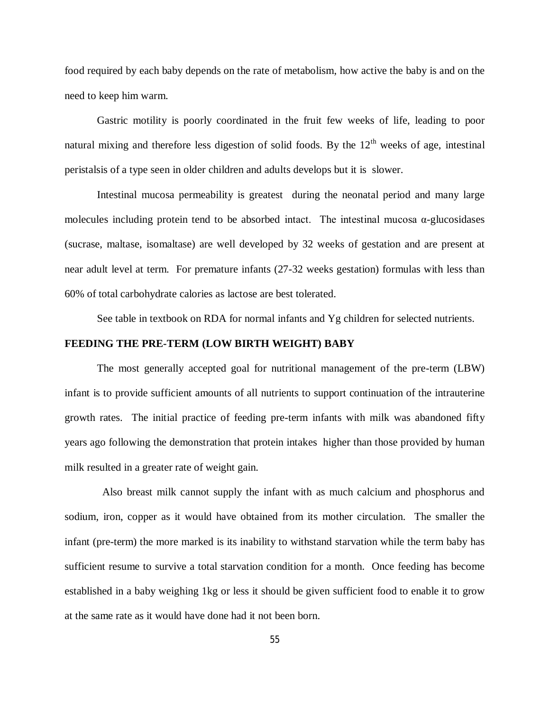food required by each baby depends on the rate of metabolism, how active the baby is and on the need to keep him warm.

Gastric motility is poorly coordinated in the fruit few weeks of life, leading to poor natural mixing and therefore less digestion of solid foods. By the  $12<sup>th</sup>$  weeks of age, intestinal peristalsis of a type seen in older children and adults develops but it is slower.

Intestinal mucosa permeability is greatest during the neonatal period and many large molecules including protein tend to be absorbed intact. The intestinal mucosa  $\alpha$ -glucosidases (sucrase, maltase, isomaltase) are well developed by 32 weeks of gestation and are present at near adult level at term. For premature infants (27-32 weeks gestation) formulas with less than 60% of total carbohydrate calories as lactose are best tolerated.

See table in textbook on RDA for normal infants and Yg children for selected nutrients.

## **FEEDING THE PRE-TERM (LOW BIRTH WEIGHT) BABY**

The most generally accepted goal for nutritional management of the pre-term (LBW) infant is to provide sufficient amounts of all nutrients to support continuation of the intrauterine growth rates. The initial practice of feeding pre-term infants with milk was abandoned fifty years ago following the demonstration that protein intakes higher than those provided by human milk resulted in a greater rate of weight gain.

 Also breast milk cannot supply the infant with as much calcium and phosphorus and sodium, iron, copper as it would have obtained from its mother circulation. The smaller the infant (pre-term) the more marked is its inability to withstand starvation while the term baby has sufficient resume to survive a total starvation condition for a month. Once feeding has become established in a baby weighing 1kg or less it should be given sufficient food to enable it to grow at the same rate as it would have done had it not been born.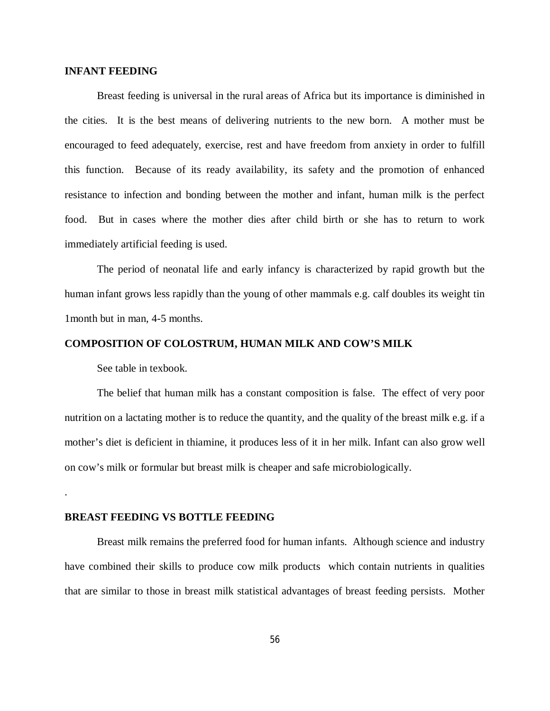# **INFANT FEEDING**

Breast feeding is universal in the rural areas of Africa but its importance is diminished in the cities. It is the best means of delivering nutrients to the new born. A mother must be encouraged to feed adequately, exercise, rest and have freedom from anxiety in order to fulfill this function. Because of its ready availability, its safety and the promotion of enhanced resistance to infection and bonding between the mother and infant, human milk is the perfect food. But in cases where the mother dies after child birth or she has to return to work immediately artificial feeding is used.

The period of neonatal life and early infancy is characterized by rapid growth but the human infant grows less rapidly than the young of other mammals e.g. calf doubles its weight tin 1month but in man, 4-5 months.

### **COMPOSITION OF COLOSTRUM, HUMAN MILK AND COW'S MILK**

See table in texbook.

.

The belief that human milk has a constant composition is false. The effect of very poor nutrition on a lactating mother is to reduce the quantity, and the quality of the breast milk e.g. if a mother's diet is deficient in thiamine, it produces less of it in her milk. Infant can also grow well on cow's milk or formular but breast milk is cheaper and safe microbiologically.

#### **BREAST FEEDING VS BOTTLE FEEDING**

Breast milk remains the preferred food for human infants. Although science and industry have combined their skills to produce cow milk products which contain nutrients in qualities that are similar to those in breast milk statistical advantages of breast feeding persists. Mother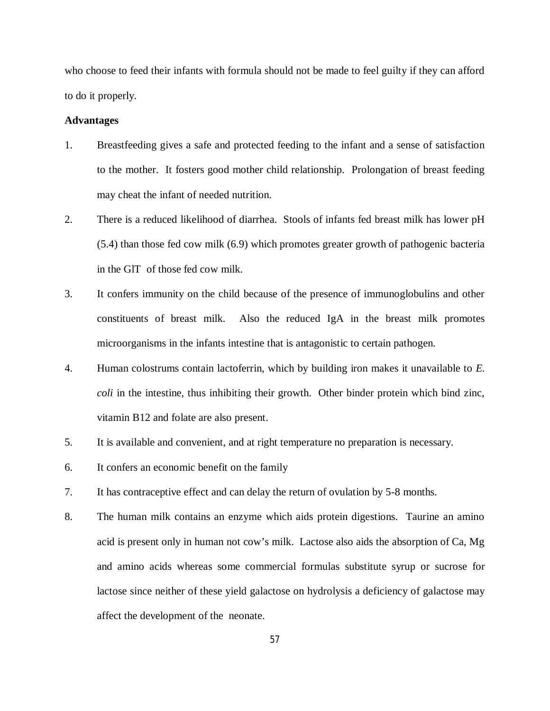who choose to feed their infants with formula should not be made to feel guilty if they can afford to do it properly.

## **Advantages**

- 1. Breastfeeding gives a safe and protected feeding to the infant and a sense of satisfaction to the mother. It fosters good mother child relationship. Prolongation of breast feeding may cheat the infant of needed nutrition.
- 2. There is a reduced likelihood of diarrhea. Stools of infants fed breast milk has lower pH (5.4) than those fed cow milk (6.9) which promotes greater growth of pathogenic bacteria in the GlT of those fed cow milk.
- 3. It confers immunity on the child because of the presence of immunoglobulins and other constituents of breast milk. Also the reduced IgA in the breast milk promotes microorganisms in the infants intestine that is antagonistic to certain pathogen.
- 4. Human colostrums contain lactoferrin, which by building iron makes it unavailable to *E. coli* in the intestine, thus inhibiting their growth. Other binder protein which bind zinc, vitamin B12 and folate are also present.
- 5. It is available and convenient, and at right temperature no preparation is necessary.
- 6. It confers an economic benefit on the family
- 7. It has contraceptive effect and can delay the return of ovulation by 5-8 months.
- 8. The human milk contains an enzyme which aids protein digestions. Taurine an amino acid is present only in human not cow's milk. Lactose also aids the absorption of Ca, Mg and amino acids whereas some commercial formulas substitute syrup or sucrose for lactose since neither of these yield galactose on hydrolysis a deficiency of galactose may affect the development of the neonate.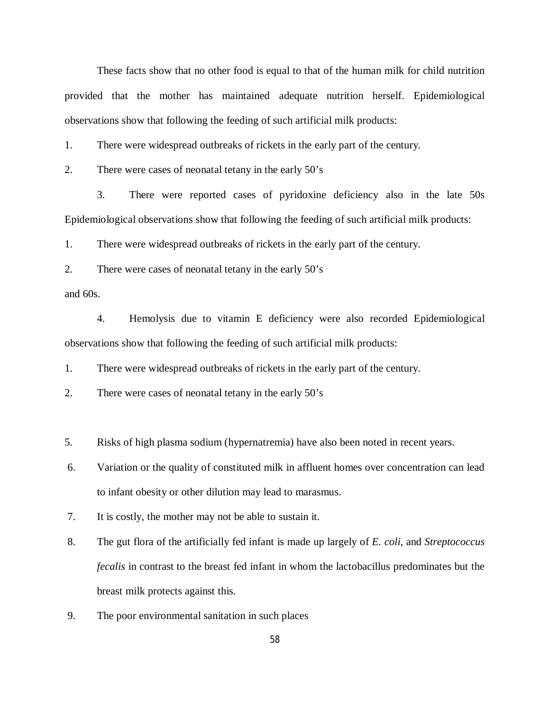These facts show that no other food is equal to that of the human milk for child nutrition provided that the mother has maintained adequate nutrition herself. Epidemiological observations show that following the feeding of such artificial milk products:

1. There were widespread outbreaks of rickets in the early part of the century.

2. There were cases of neonatal tetany in the early 50's

3. There were reported cases of pyridoxine deficiency also in the late 50s Epidemiological observations show that following the feeding of such artificial milk products:

1. There were widespread outbreaks of rickets in the early part of the century.

2. There were cases of neonatal tetany in the early 50's

and 60s.

4. Hemolysis due to vitamin E deficiency were also recorded Epidemiological observations show that following the feeding of such artificial milk products:

1. There were widespread outbreaks of rickets in the early part of the century.

2. There were cases of neonatal tetany in the early 50's

5. Risks of high plasma sodium (hypernatremia) have also been noted in recent years.

6. Variation or the quality of constituted milk in affluent homes over concentration can lead to infant obesity or other dilution may lead to marasmus.

7. It is costly, the mother may not be able to sustain it.

- 8. The gut flora of the artificially fed infant is made up largely of *E. coli*, and *Streptococcus fecalis* in contrast to the breast fed infant in whom the lactobacillus predominates but the breast milk protects against this.
- 9. The poor environmental sanitation in such places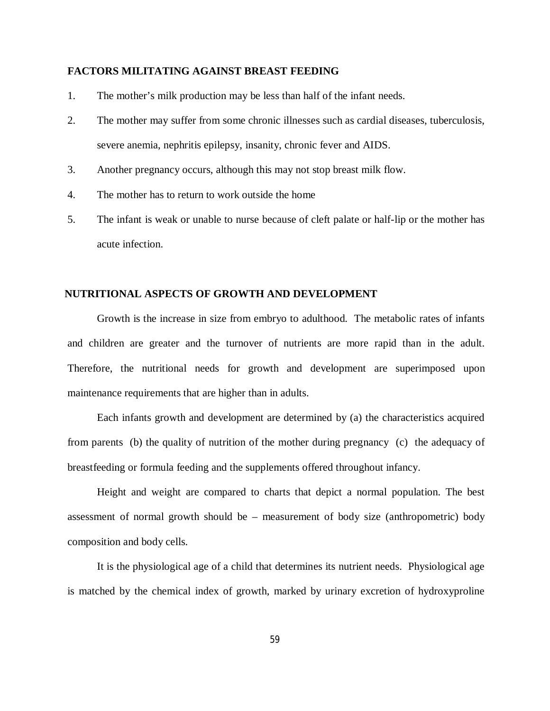# **FACTORS MILITATING AGAINST BREAST FEEDING**

- 1. The mother's milk production may be less than half of the infant needs.
- 2. The mother may suffer from some chronic illnesses such as cardial diseases, tuberculosis, severe anemia, nephritis epilepsy, insanity, chronic fever and AIDS.
- 3. Another pregnancy occurs, although this may not stop breast milk flow.
- 4. The mother has to return to work outside the home
- 5. The infant is weak or unable to nurse because of cleft palate or half-lip or the mother has acute infection.

# **NUTRITIONAL ASPECTS OF GROWTH AND DEVELOPMENT**

Growth is the increase in size from embryo to adulthood. The metabolic rates of infants and children are greater and the turnover of nutrients are more rapid than in the adult. Therefore, the nutritional needs for growth and development are superimposed upon maintenance requirements that are higher than in adults.

Each infants growth and development are determined by (a) the characteristics acquired from parents (b) the quality of nutrition of the mother during pregnancy (c) the adequacy of breastfeeding or formula feeding and the supplements offered throughout infancy.

Height and weight are compared to charts that depict a normal population. The best assessment of normal growth should be – measurement of body size (anthropometric) body composition and body cells.

It is the physiological age of a child that determines its nutrient needs. Physiological age is matched by the chemical index of growth, marked by urinary excretion of hydroxyproline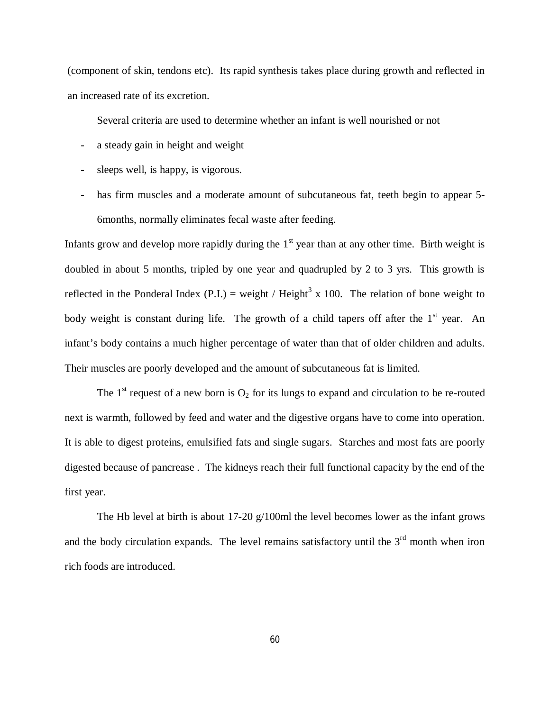(component of skin, tendons etc). Its rapid synthesis takes place during growth and reflected in an increased rate of its excretion.

Several criteria are used to determine whether an infant is well nourished or not

- a steady gain in height and weight
- sleeps well, is happy, is vigorous.
- has firm muscles and a moderate amount of subcutaneous fat, teeth begin to appear 5-6months, normally eliminates fecal waste after feeding.

Infants grow and develop more rapidly during the  $1<sup>st</sup>$  year than at any other time. Birth weight is doubled in about 5 months, tripled by one year and quadrupled by 2 to 3 yrs. This growth is reflected in the Ponderal Index (P.I.) = weight / Height<sup>3</sup> x 100. The relation of bone weight to body weight is constant during life. The growth of a child tapers off after the  $1<sup>st</sup>$  year. An infant's body contains a much higher percentage of water than that of older children and adults. Their muscles are poorly developed and the amount of subcutaneous fat is limited.

The 1<sup>st</sup> request of a new born is  $O_2$  for its lungs to expand and circulation to be re-routed next is warmth, followed by feed and water and the digestive organs have to come into operation. It is able to digest proteins, emulsified fats and single sugars. Starches and most fats are poorly digested because of pancrease . The kidneys reach their full functional capacity by the end of the first year.

The Hb level at birth is about 17-20  $g/100$ ml the level becomes lower as the infant grows and the body circulation expands. The level remains satisfactory until the  $3<sup>rd</sup>$  month when iron rich foods are introduced.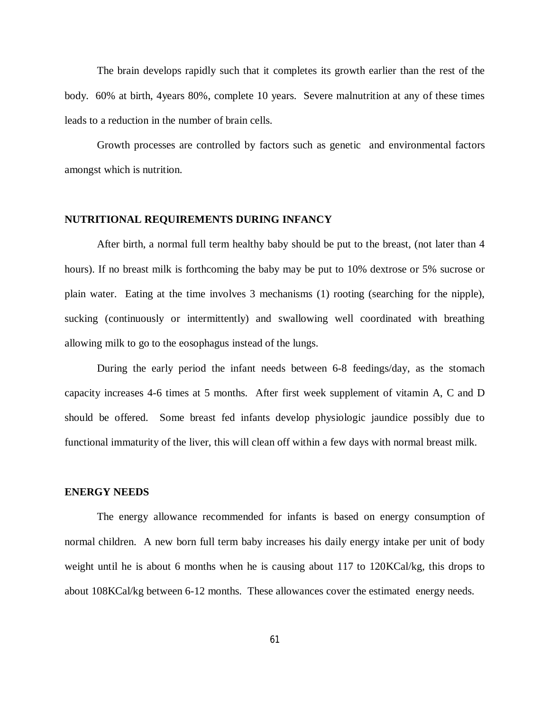The brain develops rapidly such that it completes its growth earlier than the rest of the body. 60% at birth, 4years 80%, complete 10 years. Severe malnutrition at any of these times leads to a reduction in the number of brain cells.

Growth processes are controlled by factors such as genetic and environmental factors amongst which is nutrition.

## **NUTRITIONAL REQUIREMENTS DURING INFANCY**

After birth, a normal full term healthy baby should be put to the breast, (not later than 4 hours). If no breast milk is forthcoming the baby may be put to 10% dextrose or 5% sucrose or plain water. Eating at the time involves 3 mechanisms (1) rooting (searching for the nipple), sucking (continuously or intermittently) and swallowing well coordinated with breathing allowing milk to go to the eosophagus instead of the lungs.

During the early period the infant needs between 6-8 feedings/day, as the stomach capacity increases 4-6 times at 5 months. After first week supplement of vitamin A, C and D should be offered. Some breast fed infants develop physiologic jaundice possibly due to functional immaturity of the liver, this will clean off within a few days with normal breast milk.

#### **ENERGY NEEDS**

The energy allowance recommended for infants is based on energy consumption of normal children. A new born full term baby increases his daily energy intake per unit of body weight until he is about 6 months when he is causing about 117 to 120KCal/kg, this drops to about 108KCal/kg between 6-12 months. These allowances cover the estimated energy needs.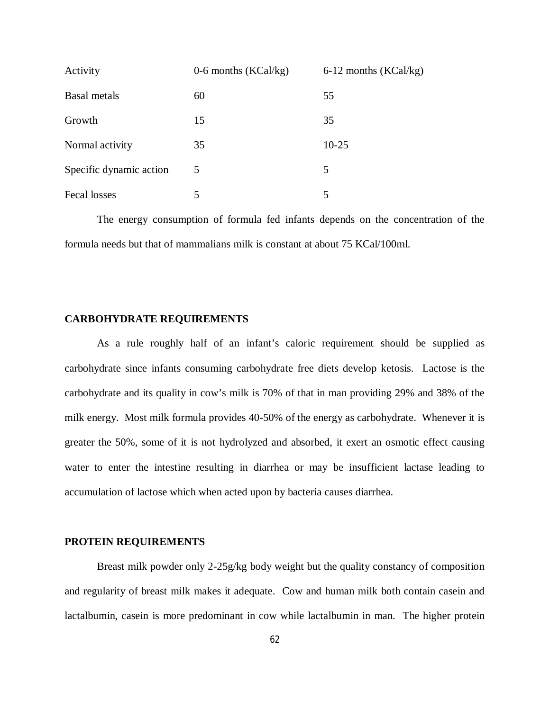| Activity                | $0-6$ months (KCal/kg) | 6-12 months (KCal/kg) |
|-------------------------|------------------------|-----------------------|
| Basal metals            | 60                     | 55                    |
| Growth                  | 15                     | 35                    |
| Normal activity         | 35                     | $10 - 25$             |
| Specific dynamic action | 5                      | 5                     |
| Fecal losses            | 5                      | 5                     |

The energy consumption of formula fed infants depends on the concentration of the formula needs but that of mammalians milk is constant at about 75 KCal/100ml.

## **CARBOHYDRATE REQUIREMENTS**

As a rule roughly half of an infant's caloric requirement should be supplied as carbohydrate since infants consuming carbohydrate free diets develop ketosis. Lactose is the carbohydrate and its quality in cow's milk is 70% of that in man providing 29% and 38% of the milk energy. Most milk formula provides 40-50% of the energy as carbohydrate. Whenever it is greater the 50%, some of it is not hydrolyzed and absorbed, it exert an osmotic effect causing water to enter the intestine resulting in diarrhea or may be insufficient lactase leading to accumulation of lactose which when acted upon by bacteria causes diarrhea.

#### **PROTEIN REQUIREMENTS**

Breast milk powder only 2-25g/kg body weight but the quality constancy of composition and regularity of breast milk makes it adequate. Cow and human milk both contain casein and lactalbumin, casein is more predominant in cow while lactalbumin in man. The higher protein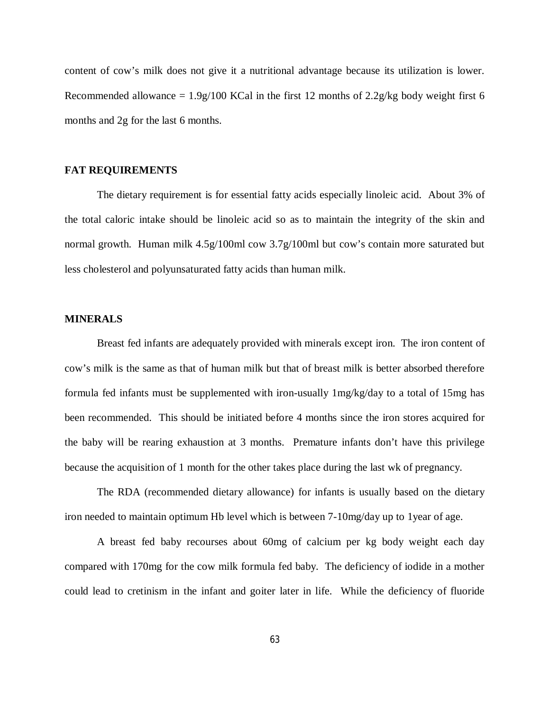content of cow's milk does not give it a nutritional advantage because its utilization is lower. Recommended allowance =  $1.9g/100$  KCal in the first 12 months of  $2.2g/kg$  body weight first 6 months and 2g for the last 6 months.

## **FAT REQUIREMENTS**

The dietary requirement is for essential fatty acids especially linoleic acid. About 3% of the total caloric intake should be linoleic acid so as to maintain the integrity of the skin and normal growth. Human milk 4.5g/100ml cow 3.7g/100ml but cow's contain more saturated but less cholesterol and polyunsaturated fatty acids than human milk.

## **MINERALS**

Breast fed infants are adequately provided with minerals except iron. The iron content of cow's milk is the same as that of human milk but that of breast milk is better absorbed therefore formula fed infants must be supplemented with iron-usually 1mg/kg/day to a total of 15mg has been recommended. This should be initiated before 4 months since the iron stores acquired for the baby will be rearing exhaustion at 3 months. Premature infants don't have this privilege because the acquisition of 1 month for the other takes place during the last wk of pregnancy.

The RDA (recommended dietary allowance) for infants is usually based on the dietary iron needed to maintain optimum Hb level which is between 7-10mg/day up to 1year of age.

A breast fed baby recourses about 60mg of calcium per kg body weight each day compared with 170mg for the cow milk formula fed baby. The deficiency of iodide in a mother could lead to cretinism in the infant and goiter later in life. While the deficiency of fluoride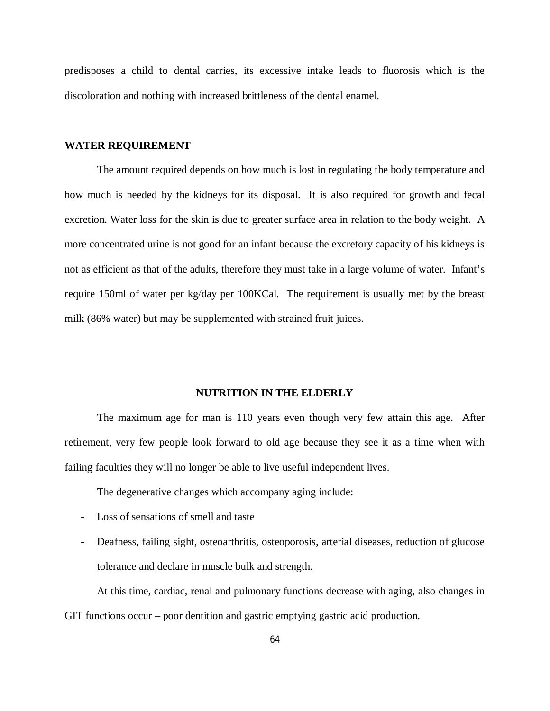predisposes a child to dental carries, its excessive intake leads to fluorosis which is the discoloration and nothing with increased brittleness of the dental enamel.

### **WATER REQUIREMENT**

The amount required depends on how much is lost in regulating the body temperature and how much is needed by the kidneys for its disposal. It is also required for growth and fecal excretion. Water loss for the skin is due to greater surface area in relation to the body weight. A more concentrated urine is not good for an infant because the excretory capacity of his kidneys is not as efficient as that of the adults, therefore they must take in a large volume of water. Infant's require 150ml of water per kg/day per 100KCal. The requirement is usually met by the breast milk (86% water) but may be supplemented with strained fruit juices.

#### **NUTRITION IN THE ELDERLY**

The maximum age for man is 110 years even though very few attain this age. After retirement, very few people look forward to old age because they see it as a time when with failing faculties they will no longer be able to live useful independent lives.

The degenerative changes which accompany aging include:

- Loss of sensations of smell and taste
- Deafness, failing sight, osteoarthritis, osteoporosis, arterial diseases, reduction of glucose tolerance and declare in muscle bulk and strength.

At this time, cardiac, renal and pulmonary functions decrease with aging, also changes in GIT functions occur – poor dentition and gastric emptying gastric acid production.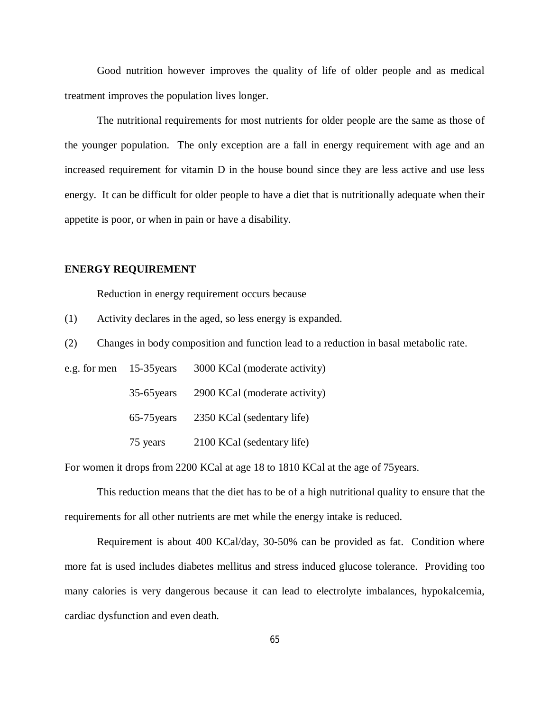Good nutrition however improves the quality of life of older people and as medical treatment improves the population lives longer.

The nutritional requirements for most nutrients for older people are the same as those of the younger population. The only exception are a fall in energy requirement with age and an increased requirement for vitamin D in the house bound since they are less active and use less energy. It can be difficult for older people to have a diet that is nutritionally adequate when their appetite is poor, or when in pain or have a disability.

## **ENERGY REQUIREMENT**

Reduction in energy requirement occurs because

(1) Activity declares in the aged, so less energy is expanded.

(2) Changes in body composition and function lead to a reduction in basal metabolic rate.

e.g. for men 15-35years 3000 KCal (moderate activity) 35-65years 2900 KCal (moderate activity) 65-75years 2350 KCal (sedentary life) 75 years 2100 KCal (sedentary life)

For women it drops from 2200 KCal at age 18 to 1810 KCal at the age of 75years.

This reduction means that the diet has to be of a high nutritional quality to ensure that the requirements for all other nutrients are met while the energy intake is reduced.

Requirement is about 400 KCal/day, 30-50% can be provided as fat. Condition where more fat is used includes diabetes mellitus and stress induced glucose tolerance. Providing too many calories is very dangerous because it can lead to electrolyte imbalances, hypokalcemia, cardiac dysfunction and even death.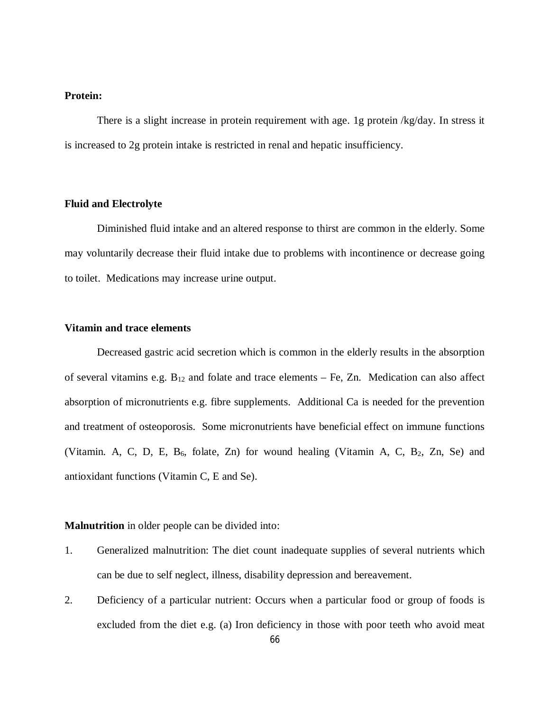# **Protein:**

There is a slight increase in protein requirement with age. 1g protein /kg/day. In stress it is increased to 2g protein intake is restricted in renal and hepatic insufficiency.

## **Fluid and Electrolyte**

Diminished fluid intake and an altered response to thirst are common in the elderly. Some may voluntarily decrease their fluid intake due to problems with incontinence or decrease going to toilet. Medications may increase urine output.

# **Vitamin and trace elements**

Decreased gastric acid secretion which is common in the elderly results in the absorption of several vitamins e.g.  $B_{12}$  and folate and trace elements – Fe, Zn. Medication can also affect absorption of micronutrients e.g. fibre supplements. Additional Ca is needed for the prevention and treatment of osteoporosis. Some micronutrients have beneficial effect on immune functions (Vitamin. A, C, D, E,  $B_6$ , folate, Zn) for wound healing (Vitamin A, C,  $B_2$ , Zn, Se) and antioxidant functions (Vitamin C, E and Se).

# **Malnutrition** in older people can be divided into:

- 1. Generalized malnutrition: The diet count inadequate supplies of several nutrients which can be due to self neglect, illness, disability depression and bereavement.
- 2. Deficiency of a particular nutrient: Occurs when a particular food or group of foods is excluded from the diet e.g. (a) Iron deficiency in those with poor teeth who avoid meat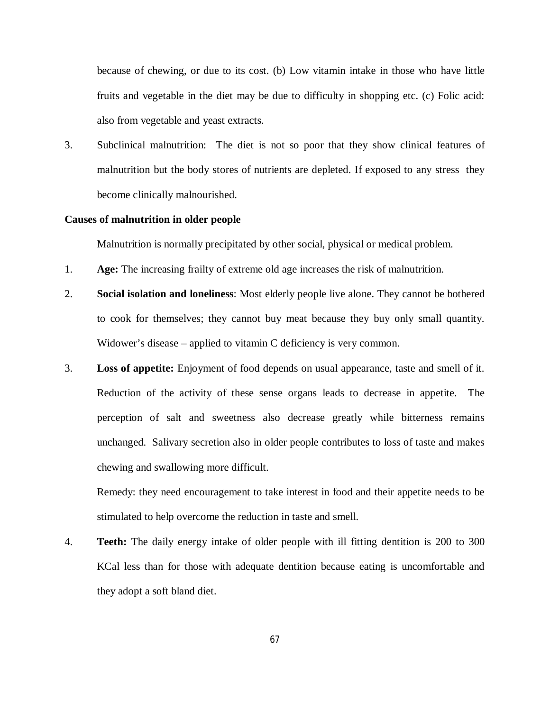because of chewing, or due to its cost. (b) Low vitamin intake in those who have little fruits and vegetable in the diet may be due to difficulty in shopping etc. (c) Folic acid: also from vegetable and yeast extracts.

3. Subclinical malnutrition: The diet is not so poor that they show clinical features of malnutrition but the body stores of nutrients are depleted. If exposed to any stress they become clinically malnourished.

## **Causes of malnutrition in older people**

Malnutrition is normally precipitated by other social, physical or medical problem.

- 1. **Age:** The increasing frailty of extreme old age increases the risk of malnutrition.
- 2. **Social isolation and loneliness**: Most elderly people live alone. They cannot be bothered to cook for themselves; they cannot buy meat because they buy only small quantity. Widower's disease – applied to vitamin C deficiency is very common.
- 3. **Loss of appetite:** Enjoyment of food depends on usual appearance, taste and smell of it. Reduction of the activity of these sense organs leads to decrease in appetite. The perception of salt and sweetness also decrease greatly while bitterness remains unchanged. Salivary secretion also in older people contributes to loss of taste and makes chewing and swallowing more difficult.

Remedy: they need encouragement to take interest in food and their appetite needs to be stimulated to help overcome the reduction in taste and smell.

4. **Teeth:** The daily energy intake of older people with ill fitting dentition is 200 to 300 KCal less than for those with adequate dentition because eating is uncomfortable and they adopt a soft bland diet.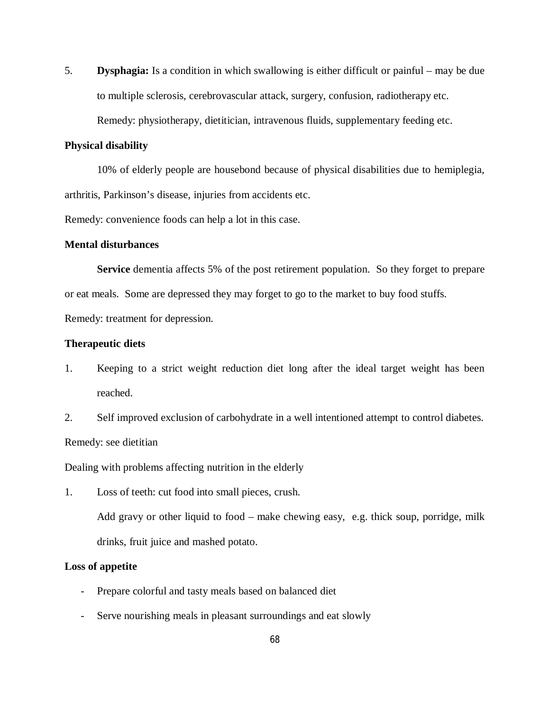5. **Dysphagia:** Is a condition in which swallowing is either difficult or painful – may be due to multiple sclerosis, cerebrovascular attack, surgery, confusion, radiotherapy etc. Remedy: physiotherapy, dietitician, intravenous fluids, supplementary feeding etc.

## **Physical disability**

10% of elderly people are housebond because of physical disabilities due to hemiplegia, arthritis, Parkinson's disease, injuries from accidents etc.

Remedy: convenience foods can help a lot in this case.

## **Mental disturbances**

**Service** dementia affects 5% of the post retirement population. So they forget to prepare or eat meals. Some are depressed they may forget to go to the market to buy food stuffs. Remedy: treatment for depression.

# **Therapeutic diets**

- 1. Keeping to a strict weight reduction diet long after the ideal target weight has been reached.
- 2. Self improved exclusion of carbohydrate in a well intentioned attempt to control diabetes. Remedy: see dietitian

Dealing with problems affecting nutrition in the elderly

1. Loss of teeth: cut food into small pieces, crush.

Add gravy or other liquid to food – make chewing easy, e.g. thick soup, porridge, milk drinks, fruit juice and mashed potato.

## **Loss of appetite**

- Prepare colorful and tasty meals based on balanced diet
- Serve nourishing meals in pleasant surroundings and eat slowly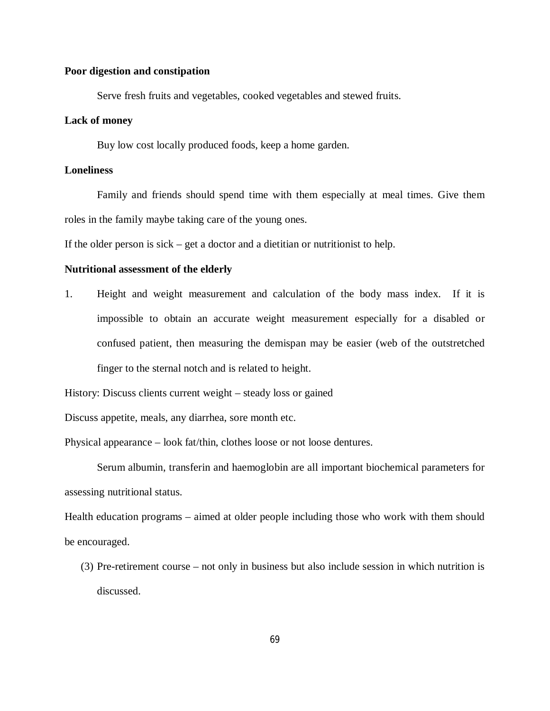## **Poor digestion and constipation**

Serve fresh fruits and vegetables, cooked vegetables and stewed fruits.

## **Lack of money**

Buy low cost locally produced foods, keep a home garden.

# **Loneliness**

Family and friends should spend time with them especially at meal times. Give them roles in the family maybe taking care of the young ones.

If the older person is sick – get a doctor and a dietitian or nutritionist to help.

## **Nutritional assessment of the elderly**

1. Height and weight measurement and calculation of the body mass index. If it is impossible to obtain an accurate weight measurement especially for a disabled or confused patient, then measuring the demispan may be easier (web of the outstretched finger to the sternal notch and is related to height.

History: Discuss clients current weight – steady loss or gained

Discuss appetite, meals, any diarrhea, sore month etc.

Physical appearance – look fat/thin, clothes loose or not loose dentures.

Serum albumin, transferin and haemoglobin are all important biochemical parameters for assessing nutritional status.

Health education programs – aimed at older people including those who work with them should be encouraged.

(3) Pre-retirement course – not only in business but also include session in which nutrition is discussed.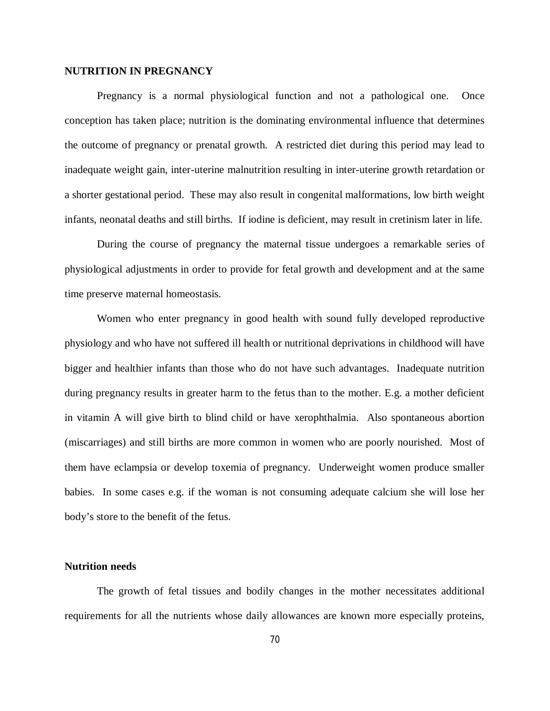## **NUTRITION IN PREGNANCY**

Pregnancy is a normal physiological function and not a pathological one. Once conception has taken place; nutrition is the dominating environmental influence that determines the outcome of pregnancy or prenatal growth. A restricted diet during this period may lead to inadequate weight gain, inter-uterine malnutrition resulting in inter-uterine growth retardation or a shorter gestational period. These may also result in congenital malformations, low birth weight infants, neonatal deaths and still births. If iodine is deficient, may result in cretinism later in life.

During the course of pregnancy the maternal tissue undergoes a remarkable series of physiological adjustments in order to provide for fetal growth and development and at the same time preserve maternal homeostasis.

Women who enter pregnancy in good health with sound fully developed reproductive physiology and who have not suffered ill health or nutritional deprivations in childhood will have bigger and healthier infants than those who do not have such advantages. Inadequate nutrition during pregnancy results in greater harm to the fetus than to the mother. E.g. a mother deficient in vitamin A will give birth to blind child or have xerophthalmia. Also spontaneous abortion (miscarriages) and still births are more common in women who are poorly nourished. Most of them have eclampsia or develop toxemia of pregnancy. Underweight women produce smaller babies. In some cases e.g. if the woman is not consuming adequate calcium she will lose her body's store to the benefit of the fetus.

## **Nutrition needs**

The growth of fetal tissues and bodily changes in the mother necessitates additional requirements for all the nutrients whose daily allowances are known more especially proteins,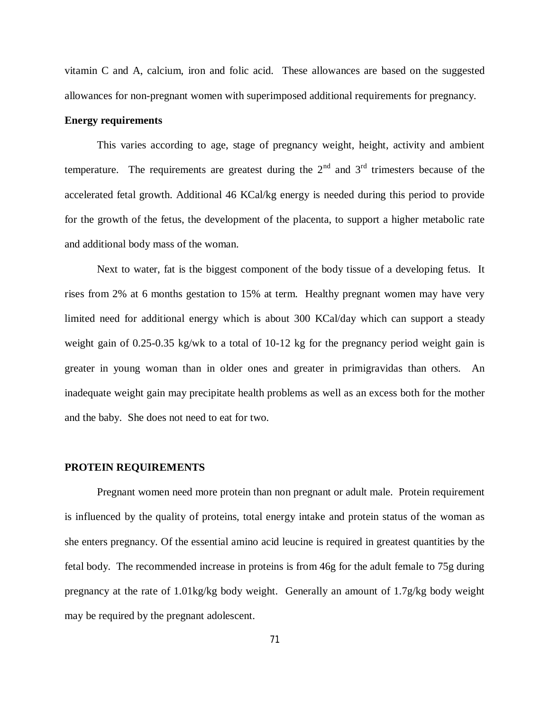vitamin C and A, calcium, iron and folic acid. These allowances are based on the suggested allowances for non-pregnant women with superimposed additional requirements for pregnancy.

# **Energy requirements**

This varies according to age, stage of pregnancy weight, height, activity and ambient temperature. The requirements are greatest during the  $2<sup>nd</sup>$  and  $3<sup>rd</sup>$  trimesters because of the accelerated fetal growth. Additional 46 KCal/kg energy is needed during this period to provide for the growth of the fetus, the development of the placenta, to support a higher metabolic rate and additional body mass of the woman.

Next to water, fat is the biggest component of the body tissue of a developing fetus. It rises from 2% at 6 months gestation to 15% at term. Healthy pregnant women may have very limited need for additional energy which is about 300 KCal/day which can support a steady weight gain of 0.25-0.35 kg/wk to a total of 10-12 kg for the pregnancy period weight gain is greater in young woman than in older ones and greater in primigravidas than others. An inadequate weight gain may precipitate health problems as well as an excess both for the mother and the baby. She does not need to eat for two.

#### **PROTEIN REQUIREMENTS**

Pregnant women need more protein than non pregnant or adult male. Protein requirement is influenced by the quality of proteins, total energy intake and protein status of the woman as she enters pregnancy. Of the essential amino acid leucine is required in greatest quantities by the fetal body. The recommended increase in proteins is from 46g for the adult female to 75g during pregnancy at the rate of 1.01kg/kg body weight. Generally an amount of 1.7g/kg body weight may be required by the pregnant adolescent.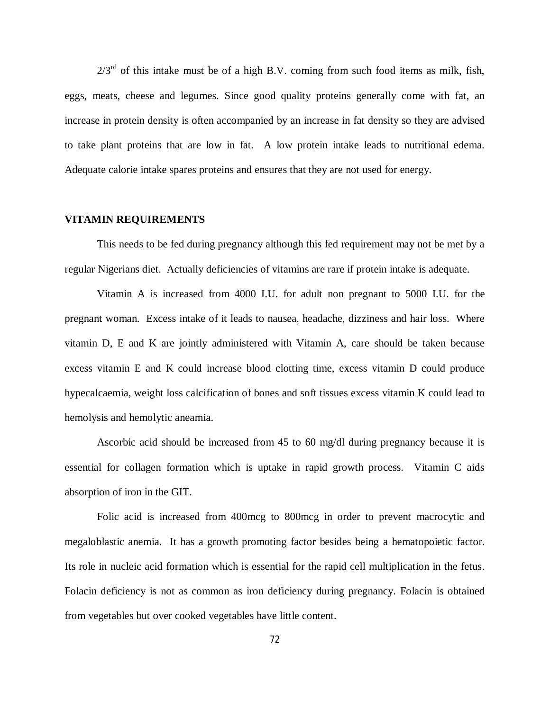$2/3^{rd}$  of this intake must be of a high B.V. coming from such food items as milk, fish, eggs, meats, cheese and legumes. Since good quality proteins generally come with fat, an increase in protein density is often accompanied by an increase in fat density so they are advised to take plant proteins that are low in fat. A low protein intake leads to nutritional edema. Adequate calorie intake spares proteins and ensures that they are not used for energy.

### **VITAMIN REQUIREMENTS**

This needs to be fed during pregnancy although this fed requirement may not be met by a regular Nigerians diet. Actually deficiencies of vitamins are rare if protein intake is adequate.

Vitamin A is increased from 4000 I.U. for adult non pregnant to 5000 I.U. for the pregnant woman. Excess intake of it leads to nausea, headache, dizziness and hair loss. Where vitamin D, E and K are jointly administered with Vitamin A, care should be taken because excess vitamin E and K could increase blood clotting time, excess vitamin D could produce hypecalcaemia, weight loss calcification of bones and soft tissues excess vitamin K could lead to hemolysis and hemolytic aneamia.

Ascorbic acid should be increased from 45 to 60 mg/dl during pregnancy because it is essential for collagen formation which is uptake in rapid growth process. Vitamin C aids absorption of iron in the GIT.

Folic acid is increased from 400mcg to 800mcg in order to prevent macrocytic and megaloblastic anemia. It has a growth promoting factor besides being a hematopoietic factor. Its role in nucleic acid formation which is essential for the rapid cell multiplication in the fetus. Folacin deficiency is not as common as iron deficiency during pregnancy. Folacin is obtained from vegetables but over cooked vegetables have little content.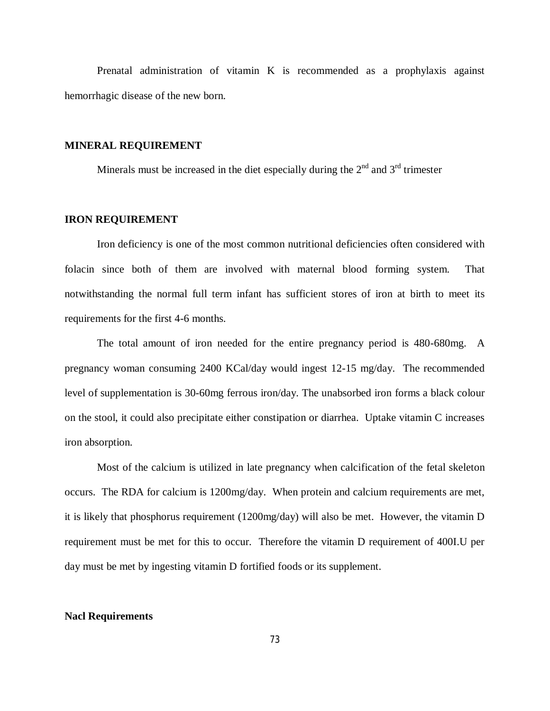Prenatal administration of vitamin K is recommended as a prophylaxis against hemorrhagic disease of the new born.

## **MINERAL REQUIREMENT**

Minerals must be increased in the diet especially during the  $2<sup>nd</sup>$  and  $3<sup>rd</sup>$  trimester

## **IRON REQUIREMENT**

Iron deficiency is one of the most common nutritional deficiencies often considered with folacin since both of them are involved with maternal blood forming system. That notwithstanding the normal full term infant has sufficient stores of iron at birth to meet its requirements for the first 4-6 months.

The total amount of iron needed for the entire pregnancy period is 480-680mg. A pregnancy woman consuming 2400 KCal/day would ingest 12-15 mg/day. The recommended level of supplementation is 30-60mg ferrous iron/day. The unabsorbed iron forms a black colour on the stool, it could also precipitate either constipation or diarrhea. Uptake vitamin C increases iron absorption.

Most of the calcium is utilized in late pregnancy when calcification of the fetal skeleton occurs. The RDA for calcium is 1200mg/day. When protein and calcium requirements are met, it is likely that phosphorus requirement (1200mg/day) will also be met. However, the vitamin D requirement must be met for this to occur. Therefore the vitamin D requirement of 400I.U per day must be met by ingesting vitamin D fortified foods or its supplement.

#### **Nacl Requirements**